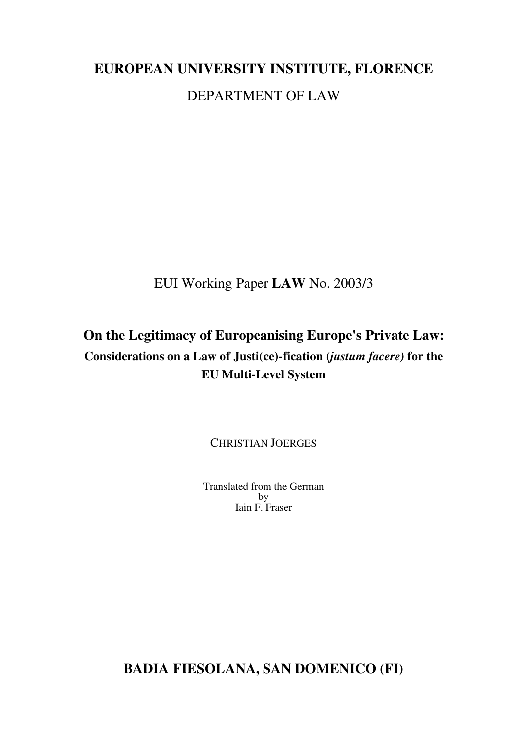# **EUROPEAN UNIVERSITY INSTITUTE, FLORENCE** DEPARTMENT OF LAW

EUI Working Paper **LAW** No. 2003/3

## **On the Legitimacy of Europeanising Europe's Private Law: Considerations on a Law of Justi(ce)-fication (***justum facere)* **for the EU Multi-Level System**

CHRISTIAN JOERGES

Translated from the German by Iain F. Fraser

**BADIA FIESOLANA, SAN DOMENICO (FI)**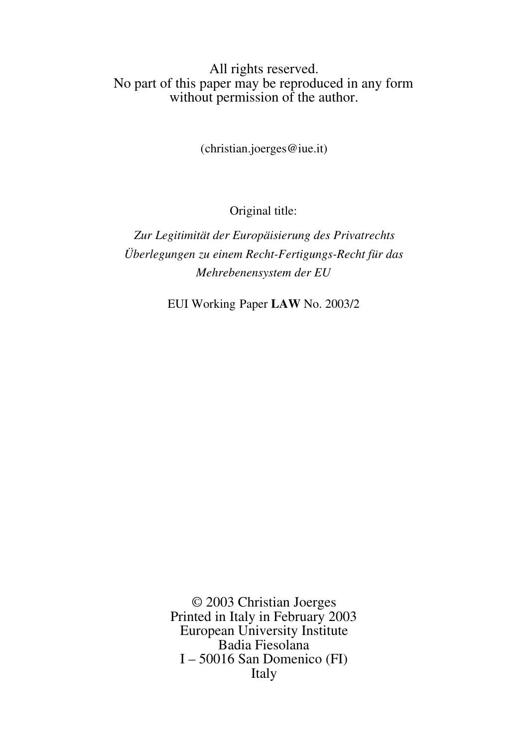## All rights reserved. No part of this paper may be reproduced in any form without permission of the author.

(christian.joerges@iue.it)

Original title:

*Zur Legitimität der Europäisierung des Privatrechts Überlegungen zu einem Recht-Fertigungs-Recht für das Mehrebenensystem der EU*

EUI Working Paper **LAW** No. 2003/2

© 2003 Christian Joerges Printed in Italy in February 2003 European University Institute Badia Fiesolana I – 50016 San Domenico (FI) Italy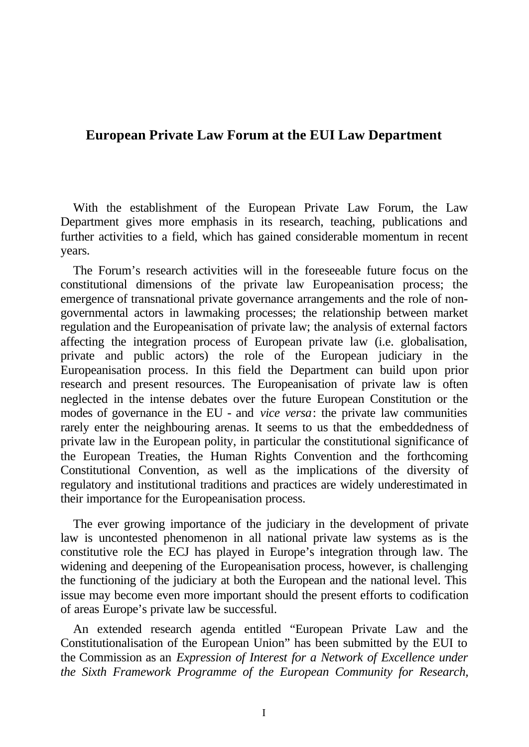## **European Private Law Forum at the EUI Law Department**

With the establishment of the European Private Law Forum, the Law Department gives more emphasis in its research, teaching, publications and further activities to a field, which has gained considerable momentum in recent years.

The Forum's research activities will in the foreseeable future focus on the constitutional dimensions of the private law Europeanisation process; the emergence of transnational private governance arrangements and the role of nongovernmental actors in lawmaking processes; the relationship between market regulation and the Europeanisation of private law; the analysis of external factors affecting the integration process of European private law (i.e. globalisation, private and public actors) the role of the European judiciary in the Europeanisation process. In this field the Department can build upon prior research and present resources. The Europeanisation of private law is often neglected in the intense debates over the future European Constitution or the modes of governance in the EU - and *vice versa*: the private law communities rarely enter the neighbouring arenas. It seems to us that the embeddedness of private law in the European polity, in particular the constitutional significance of the European Treaties, the Human Rights Convention and the forthcoming Constitutional Convention, as well as the implications of the diversity of regulatory and institutional traditions and practices are widely underestimated in their importance for the Europeanisation process.

The ever growing importance of the judiciary in the development of private law is uncontested phenomenon in all national private law systems as is the constitutive role the ECJ has played in Europe's integration through law. The widening and deepening of the Europeanisation process, however, is challenging the functioning of the judiciary at both the European and the national level. This issue may become even more important should the present efforts to codification of areas Europe's private law be successful.

An extended research agenda entitled "European Private Law and the Constitutionalisation of the European Union" has been submitted by the EUI to the Commission as an *Expression of Interest for a Network of Excellence under the Sixth Framework Programme of the European Community for Research,*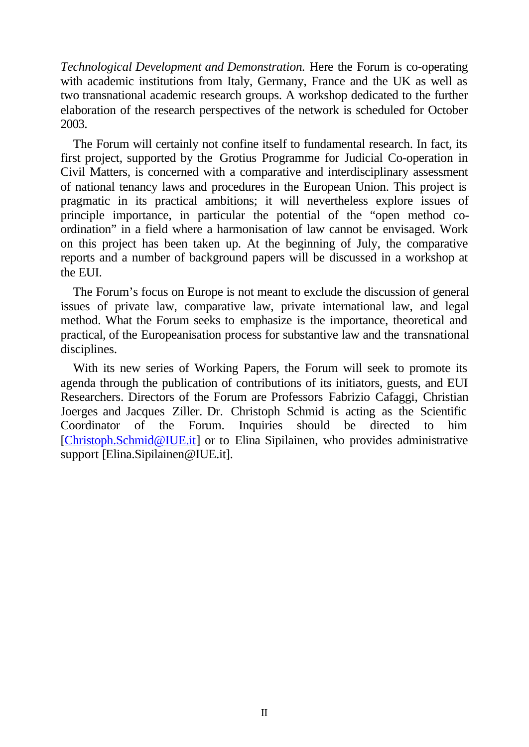*Technological Development and Demonstration.* Here the Forum is co-operating with academic institutions from Italy, Germany, France and the UK as well as two transnational academic research groups. A workshop dedicated to the further elaboration of the research perspectives of the network is scheduled for October 2003.

The Forum will certainly not confine itself to fundamental research. In fact, its first project, supported by the Grotius Programme for Judicial Co-operation in Civil Matters, is concerned with a comparative and interdisciplinary assessment of national tenancy laws and procedures in the European Union. This project is pragmatic in its practical ambitions; it will nevertheless explore issues of principle importance, in particular the potential of the "open method coordination" in a field where a harmonisation of law cannot be envisaged. Work on this project has been taken up. At the beginning of July, the comparative reports and a number of background papers will be discussed in a workshop at the EUI.

The Forum's focus on Europe is not meant to exclude the discussion of general issues of private law, comparative law, private international law, and legal method. What the Forum seeks to emphasize is the importance, theoretical and practical, of the Europeanisation process for substantive law and the transnational disciplines.

With its new series of Working Papers, the Forum will seek to promote its agenda through the publication of contributions of its initiators, guests, and EUI Researchers. Directors of the Forum are Professors Fabrizio Cafaggi, Christian Joerges and Jacques Ziller. Dr. Christoph Schmid is acting as the Scientific Coordinator of the Forum. Inquiries should be directed to him [Christoph.Schmid@IUE.it] or to Elina Sipilainen, who provides administrative support [Elina.Sipilainen@IUE.it].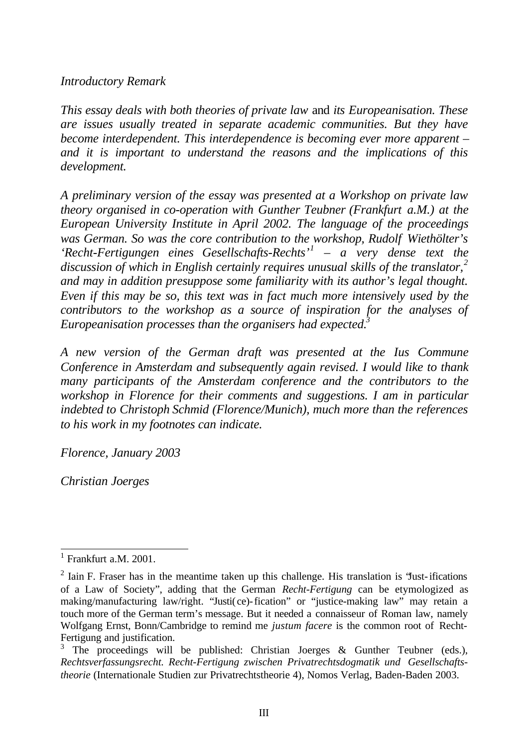## *Introductory Remark*

*This essay deals with both theories of private law* and *its Europeanisation. These are issues usually treated in separate academic communities. But they have become interdependent. This interdependence is becoming ever more apparent – and it is important to understand the reasons and the implications of this development.*

*A preliminary version of the essay was presented at a Workshop on private law theory organised in co-operation with Gunther Teubner (Frankfurt a.M.) at the European University Institute in April 2002. The language of the proceedings was German. So was the core contribution to the workshop, Rudolf Wiethölter's 'Recht-Fertigungen eines Gesellschafts-Rechts'<sup>1</sup> – a very dense text the discussion of which in English certainly requires unusual skills of the translator,<sup>2</sup> and may in addition presuppose some familiarity with its author's legal thought. Even if this may be so, this text was in fact much more intensively used by the contributors to the workshop as a source of inspiration for the analyses of Europeanisation processes than the organisers had expected.<sup>3</sup>*

*A new version of the German draft was presented at the Ius Commune Conference in Amsterdam and subsequently again revised. I would like to thank many participants of the Amsterdam conference and the contributors to the workshop in Florence for their comments and suggestions. I am in particular indebted to Christoph Schmid (Florence/Munich), much more than the references to his work in my footnotes can indicate.*

*Florence, January 2003*

*Christian Joerges*

<sup>&</sup>lt;sup>1</sup> Frankfurt a.M. 2001.

 $2$  Iain F. Fraser has in the meantime taken up this challenge. His translation is 'Just-ifications' of a Law of Society", adding that the German *Recht-Fertigung* can be etymologized as making/manufacturing law/right. "Justi(ce)-fication" or "justice-making law" may retain a touch more of the German term's message. But it needed a connaisseur of Roman law, namely Wolfgang Ernst, Bonn/Cambridge to remind me *justum facere* is the common root of Recht-Fertigung and justification.

<sup>3</sup> The proceedings will be published: Christian Joerges & Gunther Teubner (eds.), *Rechtsverfassungsrecht. Recht-Fertigung zwischen Privatrechtsdogmatik und Gesellschaftstheorie* (Internationale Studien zur Privatrechtstheorie 4), Nomos Verlag, Baden-Baden 2003.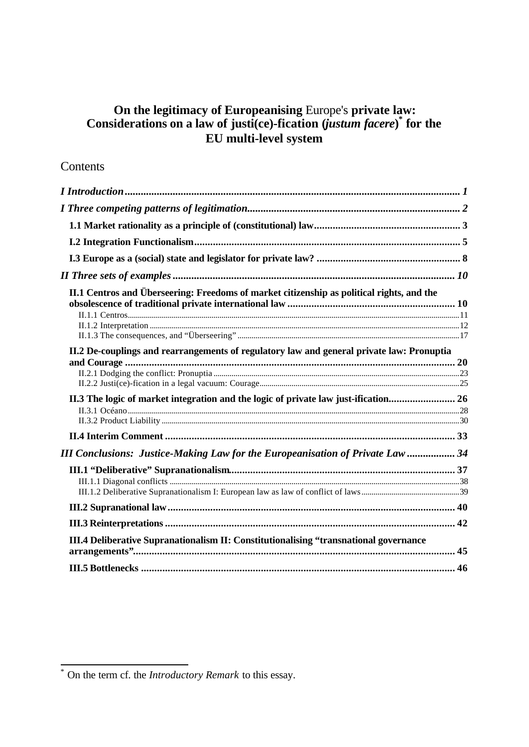## **On the legitimacy of Europeanising** Europe's **private law: Considerations on a law of justi(ce)-fication (***justum facere***) \* for the EU multi-level system**

## **Contents**

| II.1 Centros and Überseering: Freedoms of market citizenship as political rights, and the |  |
|-------------------------------------------------------------------------------------------|--|
|                                                                                           |  |
| II.2 De-couplings and rearrangements of regulatory law and general private law: Pronuptia |  |
| II.3 The logic of market integration and the logic of private law just-ification 26       |  |
|                                                                                           |  |
| <b>III Conclusions: Justice-Making Law for the Europeanisation of Private Law  34</b>     |  |
|                                                                                           |  |
|                                                                                           |  |
|                                                                                           |  |
| III.4 Deliberative Supranationalism II: Constitutionalising "transnational governance     |  |
|                                                                                           |  |

 \* On the term cf. the *Introductory Remark* to this essay.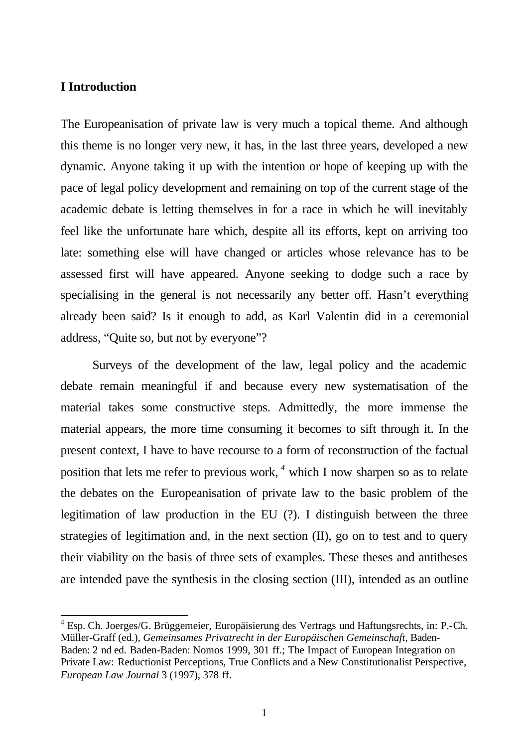#### **I Introduction**

l

The Europeanisation of private law is very much a topical theme. And although this theme is no longer very new, it has, in the last three years, developed a new dynamic. Anyone taking it up with the intention or hope of keeping up with the pace of legal policy development and remaining on top of the current stage of the academic debate is letting themselves in for a race in which he will inevitably feel like the unfortunate hare which, despite all its efforts, kept on arriving too late: something else will have changed or articles whose relevance has to be assessed first will have appeared. Anyone seeking to dodge such a race by specialising in the general is not necessarily any better off. Hasn't everything already been said? Is it enough to add, as Karl Valentin did in a ceremonial address, "Quite so, but not by everyone"?

Surveys of the development of the law, legal policy and the academic debate remain meaningful if and because every new systematisation of the material takes some constructive steps. Admittedly, the more immense the material appears, the more time consuming it becomes to sift through it. In the present context, I have to have recourse to a form of reconstruction of the factual position that lets me refer to previous work, *<sup>4</sup>* which I now sharpen so as to relate the debates on the Europeanisation of private law to the basic problem of the legitimation of law production in the EU (?). I distinguish between the three strategies of legitimation and, in the next section (II), go on to test and to query their viability on the basis of three sets of examples. These theses and antitheses are intended pave the synthesis in the closing section (III), intended as an outline

<sup>&</sup>lt;sup>4</sup> Esp. Ch. Joerges/G. Brüggemeier, Europäisierung des Vertrags und Haftungsrechts, in: P.-Ch. Müller-Graff (ed.), *Gemeinsames Privatrecht in der Europäischen Gemeinschaft*, Baden-Baden: 2 nd ed. Baden-Baden: Nomos 1999, 301 ff.; The Impact of European Integration on Private Law: Reductionist Perceptions, True Conflicts and a New Constitutionalist Perspective, *European Law Journal* 3 (1997), 378 ff.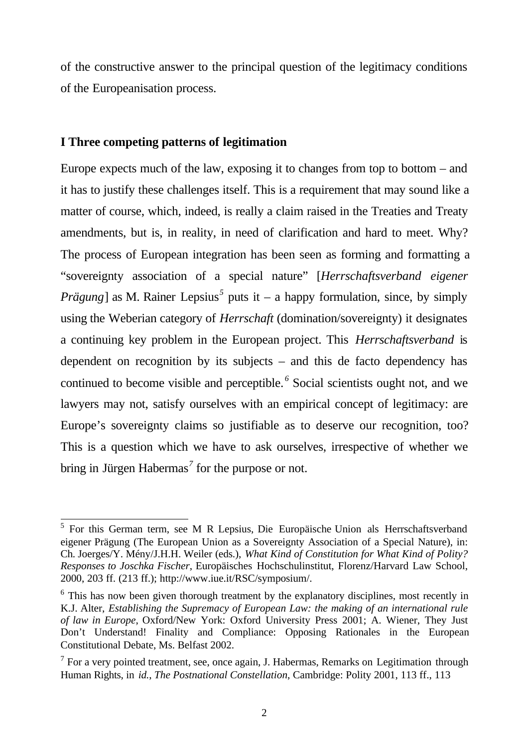of the constructive answer to the principal question of the legitimacy conditions of the Europeanisation process.

## **I Three competing patterns of legitimation**

l

Europe expects much of the law, exposing it to changes from top to bottom – and it has to justify these challenges itself. This is a requirement that may sound like a matter of course, which, indeed, is really a claim raised in the Treaties and Treaty amendments, but is, in reality, in need of clarification and hard to meet. Why? The process of European integration has been seen as forming and formatting a "sovereignty association of a special nature" [*Herrschaftsverband eigener Prägung*] as M. Rainer Lepsius<sup>5</sup> puts it – a happy formulation, since, by simply using the Weberian category of *Herrschaft* (domination/sovereignty) it designates a continuing key problem in the European project. This *Herrschaftsverband* is dependent on recognition by its subjects – and this de facto dependency has continued to become visible and perceptible. *<sup>6</sup>* Social scientists ought not, and we lawyers may not, satisfy ourselves with an empirical concept of legitimacy: are Europe's sovereignty claims so justifiable as to deserve our recognition, too? This is a question which we have to ask ourselves, irrespective of whether we bring in Jürgen Habermas*<sup>7</sup>* for the purpose or not.

<sup>&</sup>lt;sup>5</sup> For this German term, see M R Lepsius, Die Europäische Union als Herrschaftsverband eigener Prägung (The European Union as a Sovereignty Association of a Special Nature), in: Ch. Joerges/Y. Mény/J.H.H. Weiler (eds.), *What Kind of Constitution for What Kind of Polity? Responses to Joschka Fischer*, Europäisches Hochschulinstitut, Florenz/Harvard Law School, 2000, 203 ff. (213 ff.); http://www.iue.it/RSC/symposium/.

<sup>&</sup>lt;sup>6</sup> This has now been given thorough treatment by the explanatory disciplines, most recently in K.J. Alter, *Establishing the Supremacy of European Law: the making of an international rule of law in Europe*, Oxford/New York: Oxford University Press 2001; A. Wiener, They Just Don't Understand! Finality and Compliance: Opposing Rationales in the European Constitutional Debate, Ms. Belfast 2002.

 $<sup>7</sup>$  For a very pointed treatment, see, once again, J. Habermas, Remarks on Legitimation through</sup> Human Rights, in *id.*, *The Postnational Constellation*, Cambridge: Polity 2001, 113 ff., 113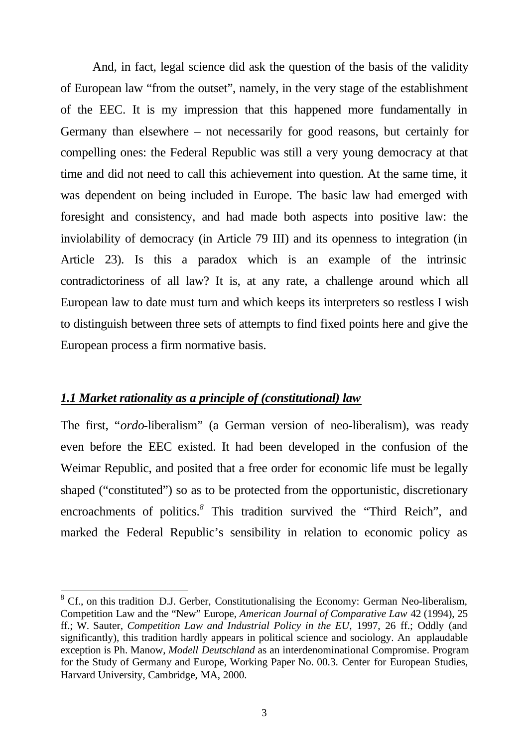And, in fact, legal science did ask the question of the basis of the validity of European law "from the outset", namely, in the very stage of the establishment of the EEC. It is my impression that this happened more fundamentally in Germany than elsewhere – not necessarily for good reasons, but certainly for compelling ones: the Federal Republic was still a very young democracy at that time and did not need to call this achievement into question. At the same time, it was dependent on being included in Europe. The basic law had emerged with foresight and consistency, and had made both aspects into positive law: the inviolability of democracy (in Article 79 III) and its openness to integration (in Article 23). Is this a paradox which is an example of the intrinsic contradictoriness of all law? It is, at any rate, a challenge around which all European law to date must turn and which keeps its interpreters so restless I wish to distinguish between three sets of attempts to find fixed points here and give the European process a firm normative basis.

#### *1.1 Market rationality as a principle of (constitutional) law*

The first, "*ordo*-liberalism" (a German version of neo-liberalism), was ready even before the EEC existed. It had been developed in the confusion of the Weimar Republic, and posited that a free order for economic life must be legally shaped ("constituted") so as to be protected from the opportunistic, discretionary encroachments of politics.*<sup>8</sup>* This tradition survived the "Third Reich", and marked the Federal Republic's sensibility in relation to economic policy as

<sup>&</sup>lt;sup>8</sup> Cf., on this tradition D.J. Gerber, Constitutionalising the Economy: German Neo-liberalism, Competition Law and the "New" Europe, *American Journal of Comparative Law* 42 (1994), 25 ff.; W. Sauter, *Competition Law and Industrial Policy in the EU*, 1997, 26 ff.; Oddly (and significantly), this tradition hardly appears in political science and sociology. An applaudable exception is Ph. Manow, *Modell Deutschland* as an interdenominational Compromise. Program for the Study of Germany and Europe, Working Paper No. 00.3. Center for European Studies, Harvard University, Cambridge, MA, 2000.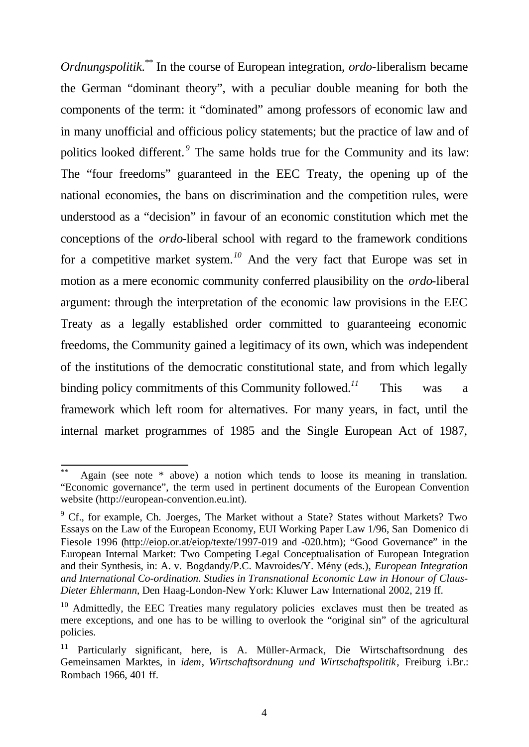*Ordnungspolitik*. \*\* In the course of European integration, *ordo-*liberalism became the German "dominant theory", with a peculiar double meaning for both the components of the term: it "dominated" among professors of economic law and in many unofficial and officious policy statements; but the practice of law and of politics looked different.<sup>9</sup> The same holds true for the Community and its law: The "four freedoms" guaranteed in the EEC Treaty, the opening up of the national economies, the bans on discrimination and the competition rules, were understood as a "decision" in favour of an economic constitution which met the conceptions of the *ordo*-liberal school with regard to the framework conditions for a competitive market system.*<sup>10</sup>* And the very fact that Europe was set in motion as a mere economic community conferred plausibility on the *ordo*-liberal argument: through the interpretation of the economic law provisions in the EEC Treaty as a legally established order committed to guaranteeing economic freedoms, the Community gained a legitimacy of its own, which was independent of the institutions of the democratic constitutional state, and from which legally binding policy commitments of this Community followed.<sup>11</sup> This was a framework which left room for alternatives. For many years, in fact, until the internal market programmes of 1985 and the Single European Act of 1987,

Again (see note  $*$  above) a notion which tends to loose its meaning in translation. "Economic governance", the term used in pertinent documents of the European Convention website (http://european-convention.eu.int).

<sup>&</sup>lt;sup>9</sup> Cf., for example, Ch. Joerges, The Market without a State? States without Markets? Two Essays on the Law of the European Economy, EUI Working Paper Law 1/96, San Domenico di Fiesole 1996 (http://eiop.or.at/eiop/texte/1997-019 and -020.htm); "Good Governance" in the European Internal Market: Two Competing Legal Conceptualisation of European Integration and their Synthesis, in: A. v. Bogdandy/P.C. Mavroides/Y. Mény (eds.), *European Integration and International Co-ordination. Studies in Transnational Economic Law in Honour of Claus-Dieter Ehlermann*, Den Haag-London-New York: Kluwer Law International 2002, 219 ff.

<sup>&</sup>lt;sup>10</sup> Admittedly, the EEC Treaties many regulatory policies exclaves must then be treated as mere exceptions, and one has to be willing to overlook the "original sin" of the agricultural policies.

<sup>&</sup>lt;sup>11</sup> Particularly significant, here, is A. Müller-Armack, Die Wirtschaftsordnung des Gemeinsamen Marktes, in *idem*, *Wirtschaftsordnung und Wirtschaftspolitik*, Freiburg i.Br.: Rombach 1966, 401 ff.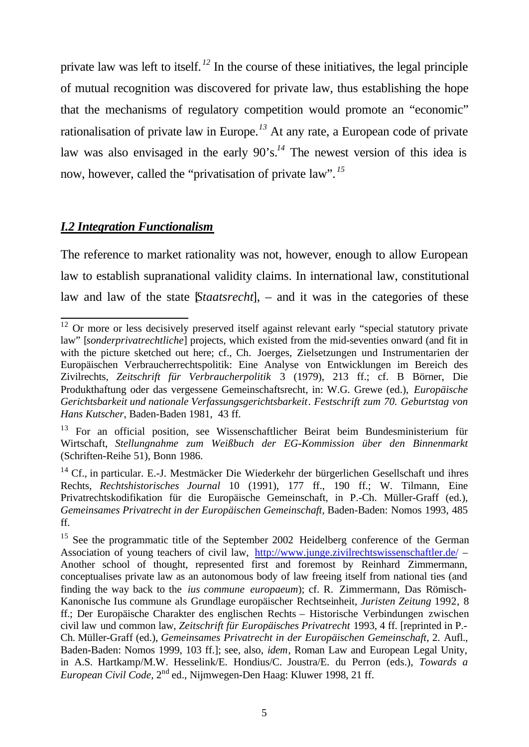private law was left to itself. *<sup>12</sup>* In the course of these initiatives, the legal principle of mutual recognition was discovered for private law, thus establishing the hope that the mechanisms of regulatory competition would promote an "economic" rationalisation of private law in Europe.*<sup>13</sup>* At any rate, a European code of private law was also envisaged in the early 90's.*<sup>14</sup>* The newest version of this idea is now, however, called the "privatisation of private law". *<sup>15</sup>*

## *I.2 Integration Functionalism*

The reference to market rationality was not, however, enough to allow European law to establish supranational validity claims. In international law, constitutional law and law of the state [*Staatsrecht*], – and it was in the categories of these

l  $12$  Or more or less decisively preserved itself against relevant early "special statutory private law" [*sonderprivatrechtliche*] projects, which existed from the mid-seventies onward (and fit in with the picture sketched out here; cf., Ch. Joerges, Zielsetzungen und Instrumentarien der Europäischen Verbraucherrechtspolitik: Eine Analyse von Entwicklungen im Bereich des Zivilrechts, *Zeitschrift für Verbraucherpolitik* 3 (1979), 213 ff.; cf. B Börner, Die Produkthaftung oder das vergessene Gemeinschaftsrecht, in: W.G. Grewe (ed.), *Europäische Gerichtsbarkeit und nationale Verfassungsgerichtsbarkeit*. *Festschrift zum 70. Geburtstag von Hans Kutscher*, Baden-Baden 1981, 43 ff.

<sup>&</sup>lt;sup>13</sup> For an official position, see Wissenschaftlicher Beirat beim Bundesministerium für Wirtschaft, *Stellungnahme zum Weißbuch der EG-Kommission über den Binnenmarkt* (Schriften-Reihe 51), Bonn 1986.

<sup>&</sup>lt;sup>14</sup> Cf., in particular. E.-J. Mestmäcker Die Wiederkehr der bürgerlichen Gesellschaft und ihres Rechts, *Rechtshistorisches Journal* 10 (1991), 177 ff., 190 ff.; W. Tilmann, Eine Privatrechtskodifikation für die Europäische Gemeinschaft, in P.-Ch. Müller-Graff (ed.), *Gemeinsames Privatrecht in der Europäischen Gemeinschaft,* Baden-Baden: Nomos 1993, 485 ff.

<sup>&</sup>lt;sup>15</sup> See the programmatic title of the September 2002 Heidelberg conference of the German Association of young teachers of civil law, http://www.junge.zivilrechtswissenschaftler.de/ – Another school of thought, represented first and foremost by Reinhard Zimmermann, conceptualises private law as an autonomous body of law freeing itself from national ties (and finding the way back to the *ius commune europaeum*); cf. R. Zimmermann, Das Römisch-Kanonische Ius commune als Grundlage europäischer Rechtseinheit, *Juristen Zeitung* 1992, 8 ff.; Der Europäische Charakter des englischen Rechts – Historische Verbindungen zwischen civil law und common law, *Zeitschrift für Europäisches Privatrecht* 1993, 4 ff. [reprinted in P.- Ch. Müller-Graff (ed.), *Gemeinsames Privatrecht in der Europäischen Gemeinschaft*, 2. Aufl., Baden-Baden: Nomos 1999, 103 ff.]; see, also, *idem*, Roman Law and European Legal Unity, in A.S. Hartkamp/M.W. Hesselink/E. Hondius/C. Joustra/E. du Perron (eds.), *Towards a European Civil Code,* 2nd ed., Nijmwegen-Den Haag: Kluwer 1998, 21 ff.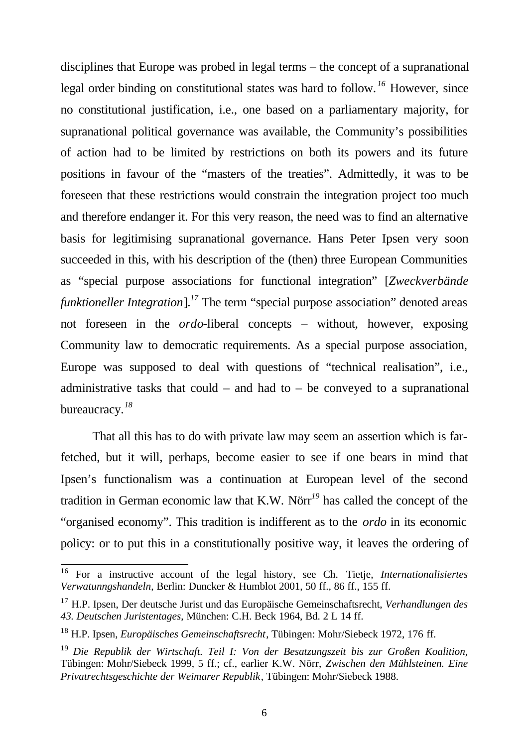disciplines that Europe was probed in legal terms – the concept of a supranational legal order binding on constitutional states was hard to follow. *<sup>16</sup>* However, since no constitutional justification, i.e., one based on a parliamentary majority, for supranational political governance was available, the Community's possibilities of action had to be limited by restrictions on both its powers and its future positions in favour of the "masters of the treaties". Admittedly, it was to be foreseen that these restrictions would constrain the integration project too much and therefore endanger it. For this very reason, the need was to find an alternative basis for legitimising supranational governance. Hans Peter Ipsen very soon succeeded in this, with his description of the (then) three European Communities as "special purpose associations for functional integration" [*Zweckverbände funktioneller Integration*].<sup>17</sup> The term "special purpose association" denoted areas not foreseen in the *ordo*-liberal concepts – without, however, exposing Community law to democratic requirements. As a special purpose association, Europe was supposed to deal with questions of "technical realisation", i.e., administrative tasks that could – and had to – be conveyed to a supranational bureaucracy.*<sup>18</sup>*

That all this has to do with private law may seem an assertion which is farfetched, but it will, perhaps, become easier to see if one bears in mind that Ipsen's functionalism was a continuation at European level of the second tradition in German economic law that K.W. Nörr*<sup>19</sup>* has called the concept of the "organised economy". This tradition is indifferent as to the *ordo* in its economic policy: or to put this in a constitutionally positive way, it leaves the ordering of

<sup>16</sup> For a instructive account of the legal history, see Ch. Tietje, *Internationalisiertes Verwatunngshandeln*, Berlin: Duncker & Humblot 2001, 50 ff., 86 ff., 155 ff.

<sup>17</sup> H.P. Ipsen, Der deutsche Jurist und das Europäische Gemeinschaftsrecht, *Verhandlungen des 43. Deutschen Juristentages*, München: C.H. Beck 1964, Bd. 2 L 14 ff.

<sup>18</sup> H.P. Ipsen, *Europäisches Gemeinschaftsrecht*, Tübingen: Mohr/Siebeck 1972, 176 ff.

<sup>19</sup> *Die Republik der Wirtschaft. Teil I: Von der Besatzungszeit bis zur Großen Koalition,* Tübingen: Mohr/Siebeck 1999, 5 ff.; cf., earlier K.W. Nörr, *Zwischen den Mühlsteinen. Eine Privatrechtsgeschichte der Weimarer Republik*, Tübingen: Mohr/Siebeck 1988.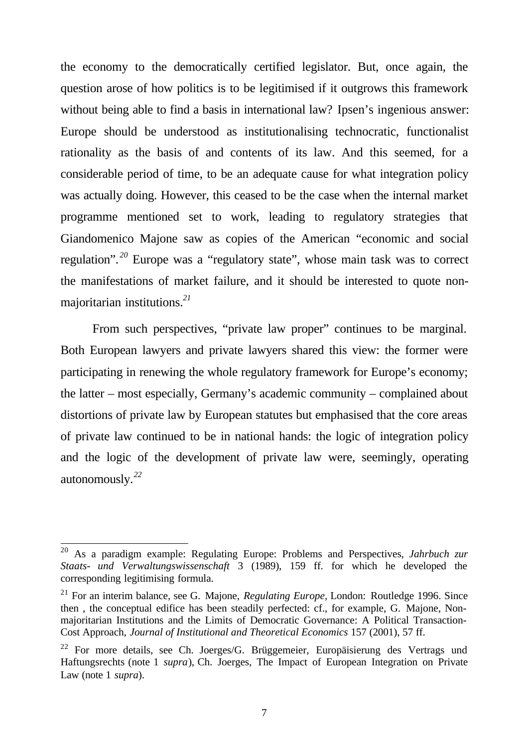the economy to the democratically certified legislator. But, once again, the question arose of how politics is to be legitimised if it outgrows this framework without being able to find a basis in international law? Ipsen's ingenious answer: Europe should be understood as institutionalising technocratic, functionalist rationality as the basis of and contents of its law. And this seemed, for a considerable period of time, to be an adequate cause for what integration policy was actually doing. However, this ceased to be the case when the internal market programme mentioned set to work, leading to regulatory strategies that Giandomenico Majone saw as copies of the American "economic and social regulation". *<sup>20</sup>* Europe was a "regulatory state", whose main task was to correct the manifestations of market failure, and it should be interested to quote nonmajoritarian institutions.*<sup>21</sup>*

From such perspectives, "private law proper" continues to be marginal. Both European lawyers and private lawyers shared this view: the former were participating in renewing the whole regulatory framework for Europe's economy; the latter – most especially, Germany's academic community – complained about distortions of private law by European statutes but emphasised that the core areas of private law continued to be in national hands: the logic of integration policy and the logic of the development of private law were, seemingly, operating autonomously.*<sup>22</sup>*

<sup>20</sup> As a paradigm example: Regulating Europe: Problems and Perspectives, *Jahrbuch zur Staats- und Verwaltungswissenschaft* 3 (1989), 159 ff. for which he developed the corresponding legitimising formula.

<sup>21</sup> For an interim balance, see G. Majone, *Regulating Europe,* London: Routledge 1996. Since then , the conceptual edifice has been steadily perfected: cf., for example, G. Majone, Nonmajoritarian Institutions and the Limits of Democratic Governance: A Political Transaction-Cost Approach, *Journal of Institutional and Theoretical Economics* 157 (2001), 57 ff.

<sup>&</sup>lt;sup>22</sup> For more details, see Ch. Joerges/G. Brüggemeier, Europäisierung des Vertrags und Haftungsrechts (note 1 *supra*), Ch. Joerges, The Impact of European Integration on Private Law (note 1 *supra*).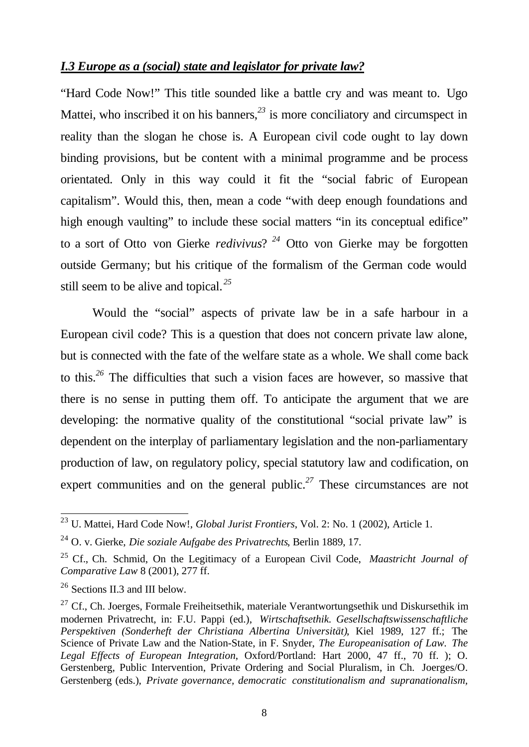## *I.3 Europe as a (social) state and legislator for private law?*

"Hard Code Now!" This title sounded like a battle cry and was meant to. Ugo Mattei, who inscribed it on his banners,<sup>23</sup> is more conciliatory and circumspect in reality than the slogan he chose is. A European civil code ought to lay down binding provisions, but be content with a minimal programme and be process orientated. Only in this way could it fit the "social fabric of European capitalism". Would this, then, mean a code "with deep enough foundations and high enough vaulting" to include these social matters "in its conceptual edifice" to a sort of Otto von Gierke *redivivus*? *<sup>24</sup>* Otto von Gierke may be forgotten outside Germany; but his critique of the formalism of the German code would still seem to be alive and topical. *<sup>25</sup>*

Would the "social" aspects of private law be in a safe harbour in a European civil code? This is a question that does not concern private law alone, but is connected with the fate of the welfare state as a whole. We shall come back to this.*<sup>26</sup>* The difficulties that such a vision faces are however, so massive that there is no sense in putting them off. To anticipate the argument that we are developing: the normative quality of the constitutional "social private law" is dependent on the interplay of parliamentary legislation and the non-parliamentary production of law, on regulatory policy, special statutory law and codification, on expert communities and on the general public.<sup>27</sup> These circumstances are not

<sup>23</sup> U. Mattei, Hard Code Now!, *Global Jurist Frontiers*, Vol. 2: No. 1 (2002), Article 1.

<sup>24</sup> O. v. Gierke, *Die soziale Aufgabe des Privatrechts*, Berlin 1889, 17.

<sup>25</sup> Cf., Ch. Schmid, On the Legitimacy of a European Civil Code, *Maastricht Journal of Comparative Law* 8 (2001), 277 ff.

<sup>26</sup> Sections II.3 and III below.

<sup>&</sup>lt;sup>27</sup> Cf., Ch. Joerges, Formale Freiheitsethik, materiale Verantwortungsethik und Diskursethik im modernen Privatrecht, in: F.U. Pappi (ed.), *Wirtschaftsethik. Gesellschaftswissenschaftliche Perspektiven (Sonderheft der Christiana Albertina Universität)*, Kiel 1989, 127 ff.; The Science of Private Law and the Nation-State, in F. Snyder, *The Europeanisation of Law. The Legal Effects of European Integration*, Oxford/Portland: Hart 2000, 47 ff., 70 ff. ); O. Gerstenberg, Public Intervention, Private Ordering and Social Pluralism, in Ch. Joerges/O. Gerstenberg (eds.), *Private governance, democratic constitutionalism and supranationalism,*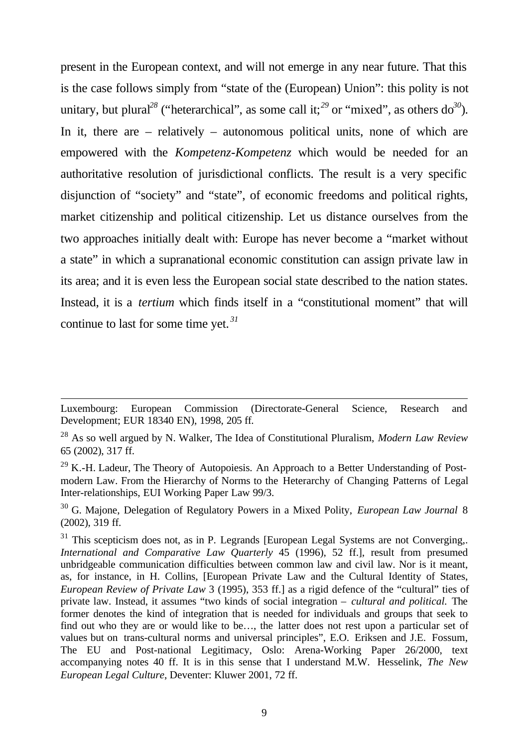present in the European context, and will not emerge in any near future. That this is the case follows simply from "state of the (European) Union": this polity is not unitary, but plural<sup>28</sup> ("heterarchical", as some call it;<sup>29</sup> or "mixed", as others do<sup>30</sup>). In it, there are – relatively – autonomous political units, none of which are empowered with the *Kompetenz-Kompetenz* which would be needed for an authoritative resolution of jurisdictional conflicts. The result is a very specific disjunction of "society" and "state", of economic freedoms and political rights, market citizenship and political citizenship. Let us distance ourselves from the two approaches initially dealt with: Europe has never become a "market without a state" in which a supranational economic constitution can assign private law in its area; and it is even less the European social state described to the nation states. Instead, it is a *tertium* which finds itself in a "constitutional moment" that will continue to last for some time yet. *<sup>31</sup>*

Luxembourg: European Commission (Directorate-General Science, Research and Development; EUR 18340 EN), 1998, 205 ff.

<sup>28</sup> As so well argued by N. Walker, The Idea of Constitutional Pluralism, *Modern Law Review* 65 (2002), 317 ff.

 $29$  K.-H. Ladeur, The Theory of Autopoiesis. An Approach to a Better Understanding of Postmodern Law. From the Hierarchy of Norms to the Heterarchy of Changing Patterns of Legal Inter-relationships, EUI Working Paper Law 99/3.

<sup>30</sup> G. Majone, Delegation of Regulatory Powers in a Mixed Polity, *European Law Journal* 8 (2002), 319 ff.

 $31$  This scepticism does not, as in P. Legrands [European Legal Systems are not Converging,. *International and Comparative Law Quarterly* 45 (1996), 52 ff.], result from presumed unbridgeable communication difficulties between common law and civil law. Nor is it meant, as, for instance, in H. Collins, [European Private Law and the Cultural Identity of States, *European Review of Private Law* 3 (1995), 353 ff.] as a rigid defence of the "cultural" ties of private law. Instead, it assumes "two kinds of social integration – *cultural and political.* The former denotes the kind of integration that is needed for individuals and groups that seek to find out who they are or would like to be…, the latter does not rest upon a particular set of values but on trans-cultural norms and universal principles", E.O. Eriksen and J.E. Fossum, The EU and Post-national Legitimacy, Oslo: Arena-Working Paper 26/2000, text accompanying notes 40 ff. It is in this sense that I understand M.W. Hesselink, *The New European Legal Culture*, Deventer: Kluwer 2001, 72 ff.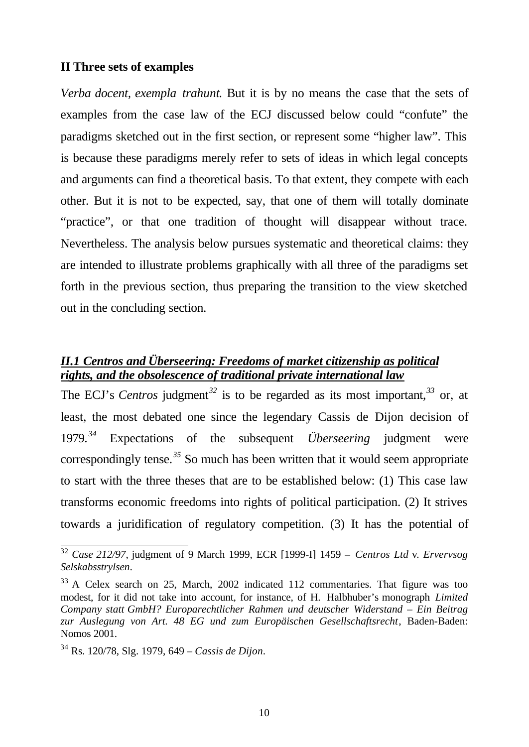#### **II Three sets of examples**

*Verba docent, exempla trahunt*. But it is by no means the case that the sets of examples from the case law of the ECJ discussed below could "confute" the paradigms sketched out in the first section, or represent some "higher law". This is because these paradigms merely refer to sets of ideas in which legal concepts and arguments can find a theoretical basis. To that extent, they compete with each other. But it is not to be expected, say, that one of them will totally dominate "practice", or that one tradition of thought will disappear without trace. Nevertheless. The analysis below pursues systematic and theoretical claims: they are intended to illustrate problems graphically with all three of the paradigms set forth in the previous section, thus preparing the transition to the view sketched out in the concluding section.

## *II.1 Centros and Überseering: Freedoms of market citizenship as political rights, and the obsolescence of traditional private international law*

The ECJ's *Centros* judgment<sup>32</sup> is to be regarded as its most important,<sup>33</sup> or, at least, the most debated one since the legendary Cassis de Dijon decision of 1979.*<sup>34</sup>* Expectations of the subsequent *Überseering* judgment were correspondingly tense.*<sup>35</sup>* So much has been written that it would seem appropriate to start with the three theses that are to be established below: (1) This case law transforms economic freedoms into rights of political participation. (2) It strives towards a juridification of regulatory competition. (3) It has the potential of

<sup>32</sup> *Case 212/97*, judgment of 9 March 1999, ECR [1999-I] 1459 – *Centros Ltd* v. *Ervervsog Selskabsstrylsen*.

<sup>&</sup>lt;sup>33</sup> A Celex search on 25, March, 2002 indicated 112 commentaries. That figure was too modest, for it did not take into account, for instance, of H. Halbhuber's monograph *Limited Company statt GmbH? Europarechtlicher Rahmen und deutscher Widerstand – Ein Beitrag zur Auslegung von Art. 48 EG und zum Europäischen Gesellschaftsrecht*, Baden-Baden: Nomos 2001.

<sup>34</sup> Rs. 120/78, Slg. 1979, 649 – *Cassis de Dijon*.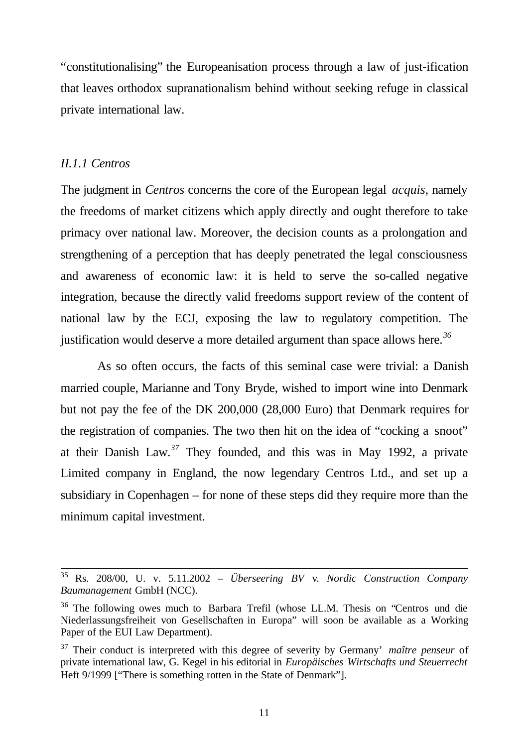"constitutionalising" the Europeanisation process through a law of just-ification that leaves orthodox supranationalism behind without seeking refuge in classical private international law.

#### *II.1.1 Centros*

l

The judgment in *Centros* concerns the core of the European legal *acquis*, namely the freedoms of market citizens which apply directly and ought therefore to take primacy over national law. Moreover, the decision counts as a prolongation and strengthening of a perception that has deeply penetrated the legal consciousness and awareness of economic law: it is held to serve the so-called negative integration, because the directly valid freedoms support review of the content of national law by the ECJ, exposing the law to regulatory competition. The justification would deserve a more detailed argument than space allows here.*<sup>36</sup>*

 As so often occurs, the facts of this seminal case were trivial: a Danish married couple, Marianne and Tony Bryde, wished to import wine into Denmark but not pay the fee of the DK 200,000 (28,000 Euro) that Denmark requires for the registration of companies. The two then hit on the idea of "cocking a snoot" at their Danish Law.*<sup>37</sup>* They founded, and this was in May 1992, a private Limited company in England, the now legendary Centros Ltd., and set up a subsidiary in Copenhagen – for none of these steps did they require more than the minimum capital investment.

<sup>35</sup> Rs. 208/00, U. v. 5.11.2002 – *Überseering BV* v*. Nordic Construction Company Baumanagement* GmbH (NCC).

<sup>&</sup>lt;sup>36</sup> The following owes much to Barbara Trefil (whose LL.M. Thesis on "Centros und die Niederlassungsfreiheit von Gesellschaften in Europa" will soon be available as a Working Paper of the EUI Law Department).

<sup>37</sup> Their conduct is interpreted with this degree of severity by Germany' *maître penseur* of private international law, G. Kegel in his editorial in *Europäisches Wirtschafts und Steuerrecht* Heft 9/1999 ["There is something rotten in the State of Denmark"].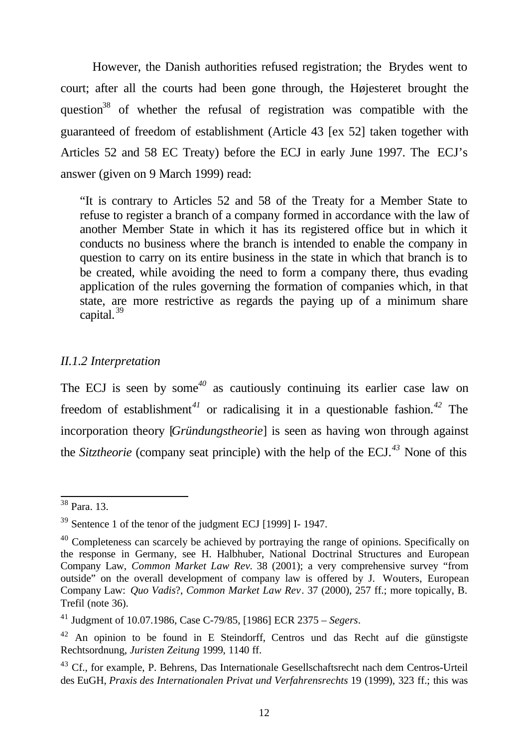However, the Danish authorities refused registration; the Brydes went to court; after all the courts had been gone through, the Højesteret brought the question<sup>38</sup> of whether the refusal of registration was compatible with the guaranteed of freedom of establishment (Article 43 [ex 52] taken together with Articles 52 and 58 EC Treaty) before the ECJ in early June 1997. The ECJ's answer (given on 9 March 1999) read:

"It is contrary to Articles 52 and 58 of the Treaty for a Member State to refuse to register a branch of a company formed in accordance with the law of another Member State in which it has its registered office but in which it conducts no business where the branch is intended to enable the company in question to carry on its entire business in the state in which that branch is to be created, while avoiding the need to form a company there, thus evading application of the rules governing the formation of companies which, in that state, are more restrictive as regards the paying up of a minimum share capital. $39$ 

## *II.1.2 Interpretation*

The ECJ is seen by some*<sup>40</sup>* as cautiously continuing its earlier case law on freedom of establishment*<sup>41</sup>* or radicalising it in a questionable fashion.*<sup>42</sup>* The incorporation theory [*Gründungstheorie*] is seen as having won through against the *Sitztheorie* (company seat principle) with the help of the ECJ.*<sup>43</sup>* None of this

<sup>38</sup> Para. 13.

<sup>39</sup> Sentence 1 of the tenor of the judgment ECJ [1999] I- 1947.

<sup>&</sup>lt;sup>40</sup> Completeness can scarcely be achieved by portraying the range of opinions. Specifically on the response in Germany, see H. Halbhuber, National Doctrinal Structures and European Company Law, *Common Market Law Rev.* 38 (2001); a very comprehensive survey "from outside" on the overall development of company law is offered by J. Wouters, European Company Law: *Quo Vadis*?, *Common Market Law Rev*. 37 (2000), 257 ff.; more topically, B. Trefil (note 36).

<sup>41</sup> Judgment of 10.07.1986, Case C-79/85, [1986] ECR 2375 – *Segers*.

<sup>42</sup> An opinion to be found in E Steindorff, Centros und das Recht auf die günstigste Rechtsordnung, *Juristen Zeitung* 1999, 1140 ff.

<sup>&</sup>lt;sup>43</sup> Cf., for example, P. Behrens, Das Internationale Gesellschaftsrecht nach dem Centros-Urteil des EuGH, *Praxis des Internationalen Privat und Verfahrensrechts* 19 (1999), 323 ff.; this was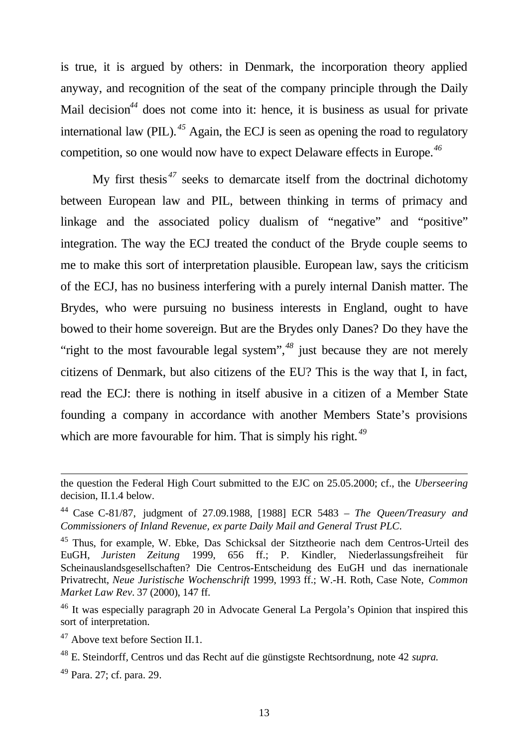is true, it is argued by others: in Denmark, the incorporation theory applied anyway, and recognition of the seat of the company principle through the Daily Mail decision<sup>44</sup> does not come into it: hence, it is business as usual for private international law (PIL). *<sup>45</sup>* Again, the ECJ is seen as opening the road to regulatory competition, so one would now have to expect Delaware effects in Europe.*<sup>46</sup>*

My first thesis *<sup>47</sup>* seeks to demarcate itself from the doctrinal dichotomy between European law and PIL, between thinking in terms of primacy and linkage and the associated policy dualism of "negative" and "positive" integration. The way the ECJ treated the conduct of the Bryde couple seems to me to make this sort of interpretation plausible. European law, says the criticism of the ECJ, has no business interfering with a purely internal Danish matter. The Brydes, who were pursuing no business interests in England, ought to have bowed to their home sovereign. But are the Brydes only Danes? Do they have the "right to the most favourable legal system",<sup>48</sup> just because they are not merely citizens of Denmark, but also citizens of the EU? This is the way that I, in fact, read the ECJ: there is nothing in itself abusive in a citizen of a Member State founding a company in accordance with another Members State's provisions which are more favourable for him. That is simply his right.<sup>49</sup>

the question the Federal High Court submitted to the EJC on 25.05.2000; cf., the *Uberseering* decision, II.1.4 below.

<sup>44</sup> Case C-81/87, judgment of 27.09.1988, [1988] ECR 5483 – *The Queen/Treasury and Commissioners of Inland Revenue, ex parte Daily Mail and General Trust PLC*.

<sup>45</sup> Thus, for example, W. Ebke, Das Schicksal der Sitztheorie nach dem Centros-Urteil des EuGH, *Juristen Zeitung* 1999, 656 ff.; P. Kindler, Niederlassungsfreiheit für Scheinauslandsgesellschaften? Die Centros-Entscheidung des EuGH und das inernationale Privatrecht, *Neue Juristische Wochenschrift* 1999, 1993 ff.; W.-H. Roth, Case Note, *Common Market Law Rev.* 37 (2000), 147 ff.

<sup>&</sup>lt;sup>46</sup> It was especially paragraph 20 in Advocate General La Pergola's Opinion that inspired this sort of interpretation.

<sup>&</sup>lt;sup>47</sup> Above text before Section II.1.

<sup>48</sup> E. Steindorff*,* Centros und das Recht auf die günstigste Rechtsordnung, note 42 *supra.*

<sup>49</sup> Para. 27; cf. para. 29.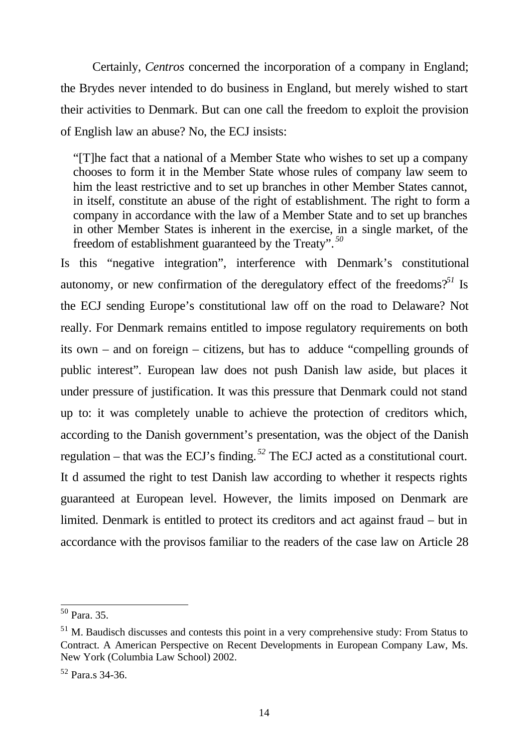Certainly, *Centros* concerned the incorporation of a company in England; the Brydes never intended to do business in England, but merely wished to start their activities to Denmark. But can one call the freedom to exploit the provision of English law an abuse? No, the ECJ insists:

"[T]he fact that a national of a Member State who wishes to set up a company chooses to form it in the Member State whose rules of company law seem to him the least restrictive and to set up branches in other Member States cannot, in itself, constitute an abuse of the right of establishment. The right to form a company in accordance with the law of a Member State and to set up branches in other Member States is inherent in the exercise, in a single market, of the freedom of establishment guaranteed by the Treaty". *<sup>50</sup>*

Is this "negative integration", interference with Denmark's constitutional autonomy, or new confirmation of the deregulatory effect of the freedoms?*<sup>51</sup>* Is the ECJ sending Europe's constitutional law off on the road to Delaware? Not really. For Denmark remains entitled to impose regulatory requirements on both its own – and on foreign – citizens, but has to adduce "compelling grounds of public interest". European law does not push Danish law aside, but places it under pressure of justification. It was this pressure that Denmark could not stand up to: it was completely unable to achieve the protection of creditors which, according to the Danish government's presentation, was the object of the Danish regulation – that was the ECJ's finding. *<sup>52</sup>* The ECJ acted as a constitutional court. It d assumed the right to test Danish law according to whether it respects rights guaranteed at European level. However, the limits imposed on Denmark are limited. Denmark is entitled to protect its creditors and act against fraud – but in accordance with the provisos familiar to the readers of the case law on Article 28

<sup>50</sup> Para. 35.

 $<sup>51</sup>$  M. Baudisch discusses and contests this point in a very comprehensive study: From Status to</sup> Contract. A American Perspective on Recent Developments in European Company Law, Ms. New York (Columbia Law School) 2002.

<sup>52</sup> Para.s 34-36.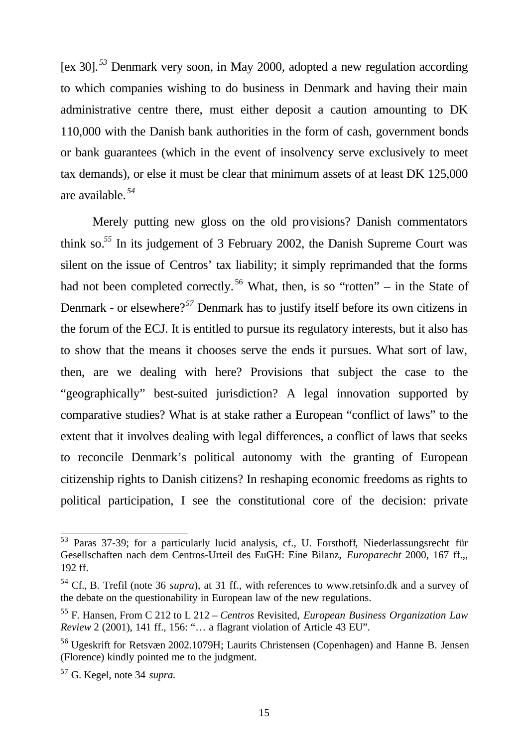[ex 30]. *<sup>53</sup>* Denmark very soon, in May 2000, adopted a new regulation according to which companies wishing to do business in Denmark and having their main administrative centre there, must either deposit a caution amounting to DK 110,000 with the Danish bank authorities in the form of cash, government bonds or bank guarantees (which in the event of insolvency serve exclusively to meet tax demands), or else it must be clear that minimum assets of at least DK 125,000 are available. *<sup>54</sup>*

Merely putting new gloss on the old provisions? Danish commentators think so.*<sup>55</sup>* In its judgement of 3 February 2002, the Danish Supreme Court was silent on the issue of Centros' tax liability; it simply reprimanded that the forms had not been completed correctly.<sup>56</sup> What, then, is so "rotten" – in the State of Denmark - or elsewhere?*<sup>57</sup>* Denmark has to justify itself before its own citizens in the forum of the ECJ. It is entitled to pursue its regulatory interests, but it also has to show that the means it chooses serve the ends it pursues. What sort of law, then, are we dealing with here? Provisions that subject the case to the "geographically" best-suited jurisdiction? A legal innovation supported by comparative studies? What is at stake rather a European "conflict of laws" to the extent that it involves dealing with legal differences, a conflict of laws that seeks to reconcile Denmark's political autonomy with the granting of European citizenship rights to Danish citizens? In reshaping economic freedoms as rights to political participation, I see the constitutional core of the decision: private

<sup>53</sup> Paras 37-39; for a particularly lucid analysis, cf., U. Forsthoff*,* Niederlassungsrecht für Gesellschaften nach dem Centros-Urteil des EuGH: Eine Bilanz, *Europarecht* 2000, 167 ff.,, 192 ff.

<sup>54</sup> Cf., B. Trefil (note 36 *supra*), at 31 ff., with references to www.retsinfo.dk and a survey of the debate on the questionability in European law of the new regulations.

<sup>55</sup> F. Hansen, From C 212 to L 212 – *Centros* Revisited, *European Business Organization Law Review* 2 (2001), 141 ff., 156: "… a flagrant violation of Article 43 EU".

<sup>56</sup> Ugeskrift for Retsvæn 2002.1079H; Laurits Christensen (Copenhagen) and Hanne B. Jensen (Florence) kindly pointed me to the judgment.

<sup>57</sup> G. Kegel, note 34 *supra.*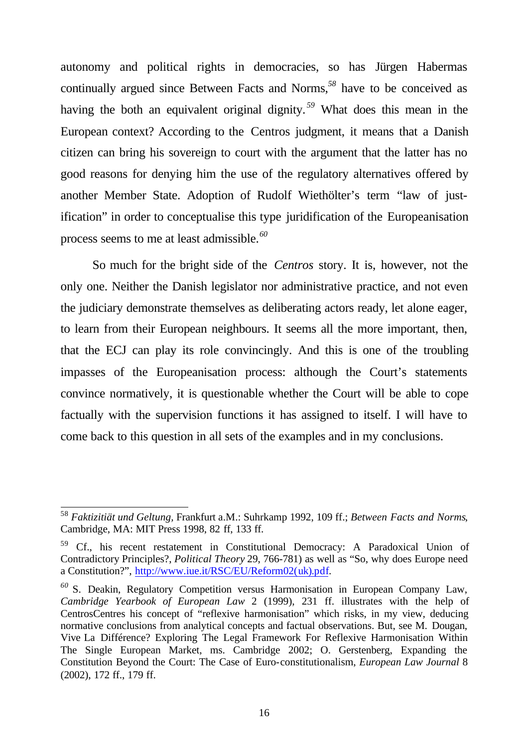autonomy and political rights in democracies, so has Jürgen Habermas continually argued since Between Facts and Norms,*<sup>58</sup>* have to be conceived as having the both an equivalent original dignity. *<sup>59</sup>* What does this mean in the European context? According to the Centros judgment, it means that a Danish citizen can bring his sovereign to court with the argument that the latter has no good reasons for denying him the use of the regulatory alternatives offered by another Member State. Adoption of Rudolf Wiethölter's term "law of justification" in order to conceptualise this type juridification of the Europeanisation process seems to me at least admissible.*<sup>60</sup>*

So much for the bright side of the *Centros* story. It is, however, not the only one. Neither the Danish legislator nor administrative practice, and not even the judiciary demonstrate themselves as deliberating actors ready, let alone eager, to learn from their European neighbours. It seems all the more important, then, that the ECJ can play its role convincingly. And this is one of the troubling impasses of the Europeanisation process: although the Court's statements convince normatively, it is questionable whether the Court will be able to cope factually with the supervision functions it has assigned to itself. I will have to come back to this question in all sets of the examples and in my conclusions.

<sup>58</sup> *Faktizitiät und Geltung,* Frankfurt a.M.: Suhrkamp 1992, 109 ff.; *Between Facts and Norms*, Cambridge, MA: MIT Press 1998, 82 ff, 133 ff.

<sup>59</sup> Cf., his recent restatement in Constitutional Democracy: A Paradoxical Union of Contradictory Principles?, *Political Theory* 29, 766-781) as well as "So, why does Europe need a Constitution?", http://www.iue.it/RSC/EU/Reform02(uk).pdf.

*<sup>60</sup>* S. Deakin, Regulatory Competition versus Harmonisation in European Company Law, *Cambridge Yearbook of European Law* 2 (1999), 231 ff. illustrates with the help of CentrosCentres his concept of "reflexive harmonisation" which risks, in my view, deducing normative conclusions from analytical concepts and factual observations. But, see M. Dougan, Vive La Différence? Exploring The Legal Framework For Reflexive Harmonisation Within The Single European Market, ms. Cambridge 2002; O. Gerstenberg, Expanding the Constitution Beyond the Court: The Case of Euro-constitutionalism, *European Law Journal* 8 (2002), 172 ff., 179 ff.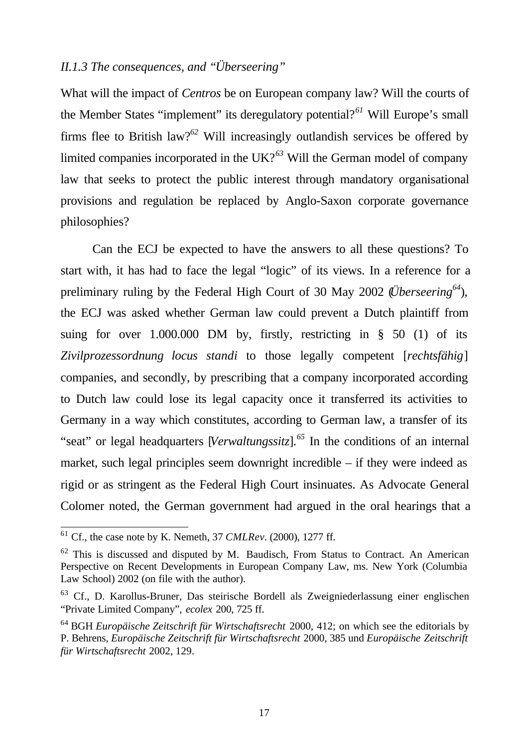## *II.1.3 The consequences, and "Überseering"*

What will the impact of *Centros* be on European company law? Will the courts of the Member States "implement" its deregulatory potential?*<sup>61</sup>* Will Europe's small firms flee to British law?*<sup>62</sup>* Will increasingly outlandish services be offered by limited companies incorporated in the UK?*<sup>63</sup>* Will the German model of company law that seeks to protect the public interest through mandatory organisational provisions and regulation be replaced by Anglo-Saxon corporate governance philosophies?

Can the ECJ be expected to have the answers to all these questions? To start with, it has had to face the legal "logic" of its views. In a reference for a preliminary ruling by the Federal High Court of 30 May 2002 (*Überseering<sup>64</sup>*), the ECJ was asked whether German law could prevent a Dutch plaintiff from suing for over  $1.000.000$  DM by, firstly, restricting in § 50 (1) of its *Zivilprozessordnung locus standi* to those legally competent [*rechtsfähig*] companies, and secondly, by prescribing that a company incorporated according to Dutch law could lose its legal capacity once it transferred its activities to Germany in a way which constitutes, according to German law, a transfer of its "seat" or legal headquarters [*Verwaltungssitz*].*<sup>65</sup>* In the conditions of an internal market, such legal principles seem downright incredible – if they were indeed as rigid or as stringent as the Federal High Court insinuates. As Advocate General Colomer noted, the German government had argued in the oral hearings that a

<sup>61</sup> Cf., the case note by K. Nemeth, 37 *CMLRev.* (2000), 1277 ff.

 $62$  This is discussed and disputed by M. Baudisch, From Status to Contract. An American Perspective on Recent Developments in European Company Law, ms. New York (Columbia Law School) 2002 (on file with the author).

<sup>63</sup> Cf., D. Karollus-Bruner, Das steirische Bordell als Zweigniederlassung einer englischen "Private Limited Company", *ecolex* 200, 725 ff.

<sup>64</sup> BGH *Europäische Zeitschrift für Wirtschaftsrecht* 2000, 412; on which see the editorials by P. Behrens, *Europäische Zeitschrift für Wirtschaftsrecht* 2000, 385 und *Europäische Zeitschrift für Wirtschaftsrecht* 2002, 129.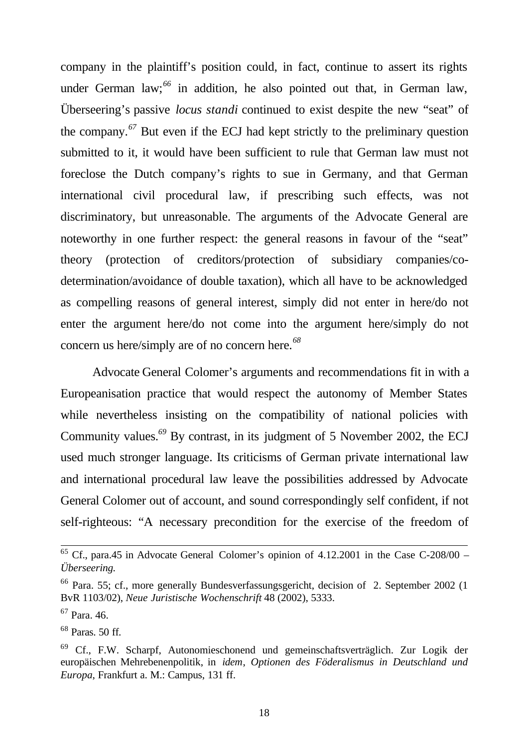company in the plaintiff's position could, in fact, continue to assert its rights under German law;*<sup>66</sup>* in addition, he also pointed out that, in German law, Überseering's passive *locus standi* continued to exist despite the new "seat" of the company.*<sup>67</sup>* But even if the ECJ had kept strictly to the preliminary question submitted to it, it would have been sufficient to rule that German law must not foreclose the Dutch company's rights to sue in Germany, and that German international civil procedural law, if prescribing such effects, was not discriminatory, but unreasonable. The arguments of the Advocate General are noteworthy in one further respect: the general reasons in favour of the "seat" theory (protection of creditors/protection of subsidiary companies/codetermination/avoidance of double taxation), which all have to be acknowledged as compelling reasons of general interest, simply did not enter in here/do not enter the argument here/do not come into the argument here/simply do not concern us here/simply are of no concern here.*<sup>68</sup>*

Advocate General Colomer's arguments and recommendations fit in with a Europeanisation practice that would respect the autonomy of Member States while nevertheless insisting on the compatibility of national policies with Community values.*<sup>69</sup>* By contrast, in its judgment of 5 November 2002, the ECJ used much stronger language. Its criticisms of German private international law and international procedural law leave the possibilities addressed by Advocate General Colomer out of account, and sound correspondingly self confident, if not self-righteous: "A necessary precondition for the exercise of the freedom of

 $65$  Cf., para.45 in Advocate General Colomer's opinion of 4.12.2001 in the Case C-208/00 – *Überseering.*

<sup>66</sup> Para. 55; cf., more generally Bundesverfassungsgericht, decision of 2. September 2002 (1 BvR 1103/02), *Neue Juristische Wochenschrift* 48 (2002), 5333.

 $67$  Para. 46.

 $68$  Paras. 50 ff.

<sup>69</sup> Cf., F.W. Scharpf, Autonomieschonend und gemeinschaftsverträglich. Zur Logik der europäischen Mehrebenenpolitik, in *idem*, *Optionen des Föderalismus in Deutschland und Europa*, Frankfurt a. M.: Campus, 131 ff.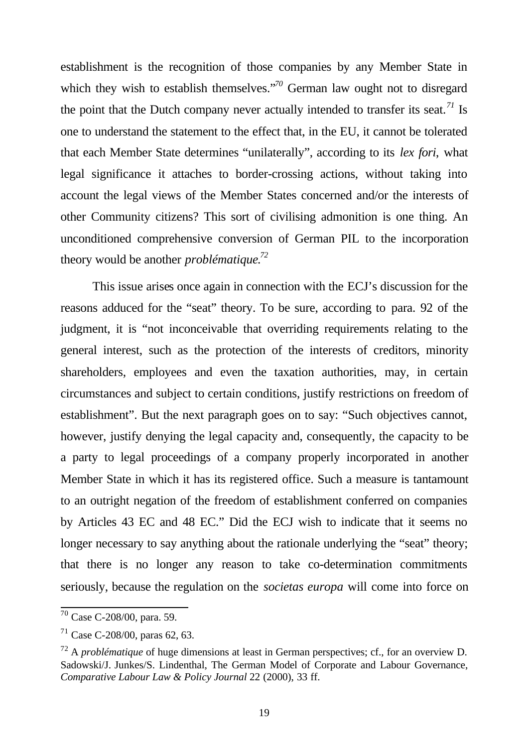establishment is the recognition of those companies by any Member State in which they wish to establish themselves."<sup>70</sup> German law ought not to disregard the point that the Dutch company never actually intended to transfer its seat.*<sup>71</sup>* Is one to understand the statement to the effect that, in the EU, it cannot be tolerated that each Member State determines "unilaterally", according to its *lex fori*, what legal significance it attaches to border-crossing actions, without taking into account the legal views of the Member States concerned and/or the interests of other Community citizens? This sort of civilising admonition is one thing. An unconditioned comprehensive conversion of German PIL to the incorporation theory would be another *problématique*. *72*

This issue arises once again in connection with the ECJ's discussion for the reasons adduced for the "seat" theory. To be sure, according to para. 92 of the judgment, it is "not inconceivable that overriding requirements relating to the general interest, such as the protection of the interests of creditors, minority shareholders, employees and even the taxation authorities, may, in certain circumstances and subject to certain conditions, justify restrictions on freedom of establishment". But the next paragraph goes on to say: "Such objectives cannot, however, justify denying the legal capacity and, consequently, the capacity to be a party to legal proceedings of a company properly incorporated in another Member State in which it has its registered office. Such a measure is tantamount to an outright negation of the freedom of establishment conferred on companies by Articles 43 EC and 48 EC." Did the ECJ wish to indicate that it seems no longer necessary to say anything about the rationale underlying the "seat" theory; that there is no longer any reason to take co-determination commitments seriously, because the regulation on the *societas europa* will come into force on

 $70$  Case C-208/00, para. 59.

<sup>71</sup> Case C-208/00, paras 62, 63.

<sup>72</sup> A *problématique* of huge dimensions at least in German perspectives; cf., for an overview D. Sadowski/J. Junkes/S. Lindenthal, The German Model of Corporate and Labour Governance, *Comparative Labour Law & Policy Journal* 22 (2000), 33 ff.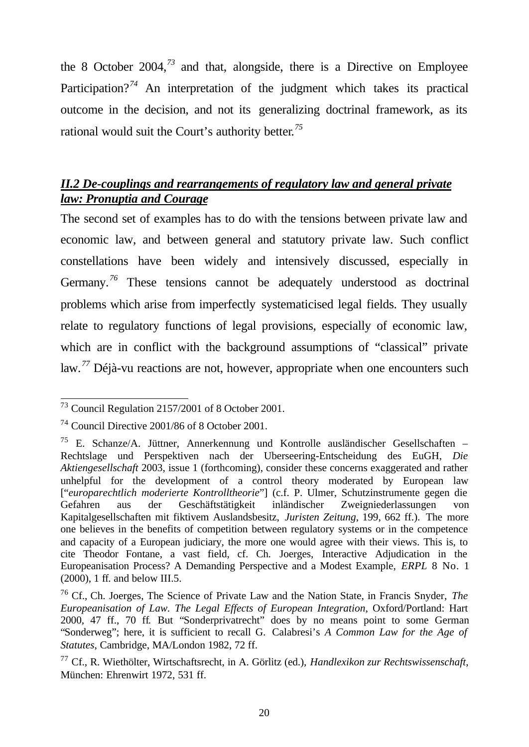the 8 October 2004,*<sup>73</sup>* and that, alongside, there is a Directive on Employee Participation?<sup>74</sup> An interpretation of the judgment which takes its practical outcome in the decision, and not its generalizing doctrinal framework, as its rational would suit the Court's authority better*. 75*

## *II.2 De-couplings and rearrangements of regulatory law and general private law: Pronuptia and Courage*

The second set of examples has to do with the tensions between private law and economic law, and between general and statutory private law. Such conflict constellations have been widely and intensively discussed, especially in Germany.<sup>76</sup> These tensions cannot be adequately understood as doctrinal problems which arise from imperfectly systematicised legal fields. They usually relate to regulatory functions of legal provisions, especially of economic law, which are in conflict with the background assumptions of "classical" private law.*<sup>77</sup>* Déjà-vu reactions are not, however, appropriate when one encounters such

l  $73$  Council Regulation 2157/2001 of 8 October 2001.

<sup>74</sup> Council Directive 2001/86 of 8 October 2001.

 $75$  E. Schanze/A. Jüttner, Annerkennung und Kontrolle ausländischer Gesellschaften – Rechtslage und Perspektiven nach der Uberseering-Entscheidung des EuGH, *Die Aktiengesellschaft* 2003, issue 1 (forthcoming), consider these concerns exaggerated and rather unhelpful for the development of a control theory moderated by European law ["*europarechtlich moderierte Kontrolltheorie*"] (c.f. P. Ulmer, Schutzinstrumente gegen die Gefahren aus der Geschäftstätigkeit inländischer Zweigniederlassungen von Kapitalgesellschaften mit fiktivem Auslandsbesitz, *Juristen Zeitung*, 199, 662 ff.). The more one believes in the benefits of competition between regulatory systems or in the competence and capacity of a European judiciary, the more one would agree with their views. This is, to cite Theodor Fontane, a vast field, cf. Ch. Joerges, Interactive Adjudication in the Europeanisation Process? A Demanding Perspective and a Modest Example, *ERPL* 8 No. 1 (2000), 1 ff. and below III.5.

<sup>76</sup> Cf., Ch. Joerges, The Science of Private Law and the Nation State, in Francis Snyder, *The Europeanisation of Law. The Legal Effects of European Integration*, Oxford/Portland: Hart 2000, 47 ff., 70 ff. But "Sonderprivatrecht" does by no means point to some German "Sonderweg"; here, it is sufficient to recall G. Calabresi's *A Common Law for the Age of Statutes*, Cambridge, MA/London 1982, 72 ff.

<sup>77</sup> Cf., R. Wiethölter, Wirtschaftsrecht, in A. Görlitz (ed.), *Handlexikon zur Rechtswissenschaft*, München: Ehrenwirt 1972, 531 ff.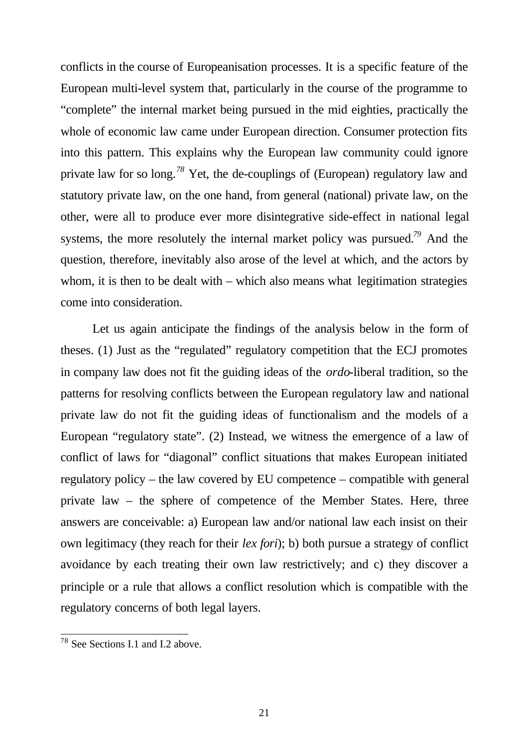conflicts in the course of Europeanisation processes. It is a specific feature of the European multi-level system that, particularly in the course of the programme to "complete" the internal market being pursued in the mid eighties, practically the whole of economic law came under European direction. Consumer protection fits into this pattern. This explains why the European law community could ignore private law for so long.*<sup>78</sup>* Yet, the de-couplings of (European) regulatory law and statutory private law, on the one hand, from general (national) private law, on the other, were all to produce ever more disintegrative side-effect in national legal systems, the more resolutely the internal market policy was pursued.*<sup>79</sup>* And the question, therefore, inevitably also arose of the level at which, and the actors by whom, it is then to be dealt with – which also means what legitimation strategies come into consideration.

Let us again anticipate the findings of the analysis below in the form of theses. (1) Just as the "regulated" regulatory competition that the ECJ promotes in company law does not fit the guiding ideas of the *ordo*-liberal tradition, so the patterns for resolving conflicts between the European regulatory law and national private law do not fit the guiding ideas of functionalism and the models of a European "regulatory state". (2) Instead, we witness the emergence of a law of conflict of laws for "diagonal" conflict situations that makes European initiated regulatory policy – the law covered by EU competence – compatible with general private law – the sphere of competence of the Member States. Here, three answers are conceivable: a) European law and/or national law each insist on their own legitimacy (they reach for their *lex fori*); b) both pursue a strategy of conflict avoidance by each treating their own law restrictively; and c) they discover a principle or a rule that allows a conflict resolution which is compatible with the regulatory concerns of both legal layers.

<sup>&</sup>lt;sup>78</sup> See Sections I.1 and I.2 above.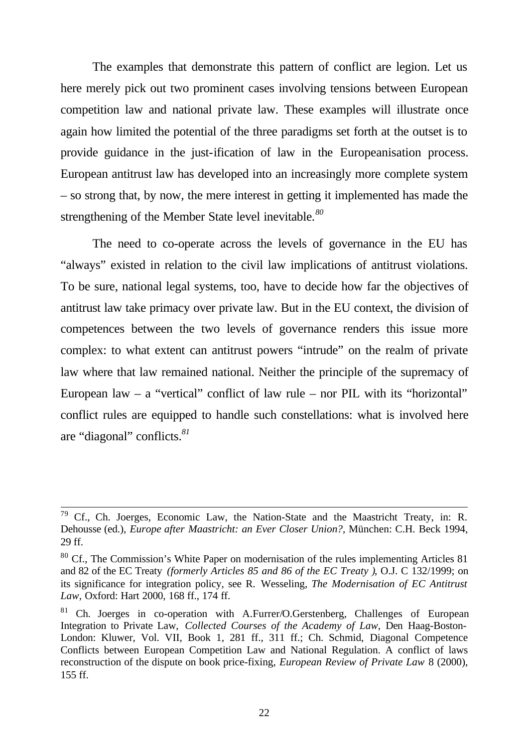The examples that demonstrate this pattern of conflict are legion. Let us here merely pick out two prominent cases involving tensions between European competition law and national private law. These examples will illustrate once again how limited the potential of the three paradigms set forth at the outset is to provide guidance in the just-ification of law in the Europeanisation process. European antitrust law has developed into an increasingly more complete system – so strong that, by now, the mere interest in getting it implemented has made the strengthening of the Member State level inevitable.*<sup>80</sup>*

The need to co-operate across the levels of governance in the EU has "always" existed in relation to the civil law implications of antitrust violations. To be sure, national legal systems, too, have to decide how far the objectives of antitrust law take primacy over private law. But in the EU context, the division of competences between the two levels of governance renders this issue more complex: to what extent can antitrust powers "intrude" on the realm of private law where that law remained national. Neither the principle of the supremacy of European law  $-$  a "vertical" conflict of law rule  $-$  nor PIL with its "horizontal" conflict rules are equipped to handle such constellations: what is involved here are "diagonal" conflicts.*<sup>81</sup>*

 $79$  Cf., Ch. Joerges, Economic Law, the Nation-State and the Maastricht Treaty, in: R. Dehousse (ed.), *Europe after Maastricht: an Ever Closer Union?*, München: C.H. Beck 1994, 29 ff.

 $80$  Cf., The Commission's White Paper on modernisation of the rules implementing Articles 81 and 82 of the EC Treaty *(formerly Articles 85 and 86 of the EC Treaty )*, O.J. C 132/1999; on its significance for integration policy, see R. Wesseling, *The Modernisation of EC Antitrust Law,* Oxford: Hart 2000, 168 ff., 174 ff.

<sup>&</sup>lt;sup>81</sup> Ch. Joerges in co-operation with A.Furrer/O.Gerstenberg, Challenges of European Integration to Private Law, *Collected Courses of the Academy of Law*, Den Haag-Boston-London: Kluwer, Vol. VII, Book 1, 281 ff., 311 ff.; Ch. Schmid, Diagonal Competence Conflicts between European Competition Law and National Regulation. A conflict of laws reconstruction of the dispute on book price-fixing, *European Review of Private Law* 8 (2000), 155 ff.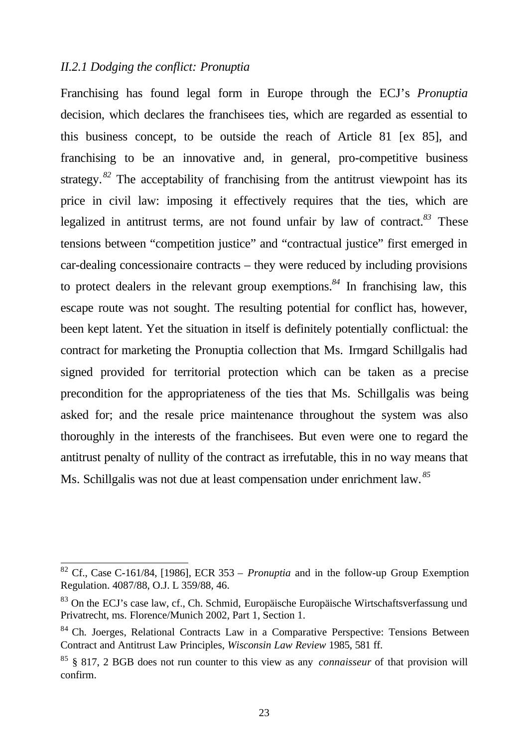#### *II.2.1 Dodging the conflict: Pronuptia*

l

Franchising has found legal form in Europe through the ECJ's *Pronuptia* decision, which declares the franchisees ties, which are regarded as essential to this business concept, to be outside the reach of Article 81 [ex 85], and franchising to be an innovative and, in general, pro-competitive business strategy.<sup>82</sup> The acceptability of franchising from the antitrust viewpoint has its price in civil law: imposing it effectively requires that the ties, which are legalized in antitrust terms, are not found unfair by law of contract.*<sup>83</sup>* These tensions between "competition justice" and "contractual justice" first emerged in car-dealing concessionaire contracts – they were reduced by including provisions to protect dealers in the relevant group exemptions.*<sup>84</sup>* In franchising law, this escape route was not sought. The resulting potential for conflict has, however, been kept latent. Yet the situation in itself is definitely potentially conflictual: the contract for marketing the Pronuptia collection that Ms. Irmgard Schillgalis had signed provided for territorial protection which can be taken as a precise precondition for the appropriateness of the ties that Ms. Schillgalis was being asked for; and the resale price maintenance throughout the system was also thoroughly in the interests of the franchisees. But even were one to regard the antitrust penalty of nullity of the contract as irrefutable, this in no way means that Ms. Schillgalis was not due at least compensation under enrichment law. *<sup>85</sup>*

<sup>82</sup> Cf., Case C-161/84, [1986], ECR 353 – *Pronuptia* and in the follow-up Group Exemption Regulation. 4087/88, O.J. L 359/88, 46.

<sup>83</sup> On the ECJ's case law, cf., Ch. Schmid, Europäische Europäische Wirtschaftsverfassung und Privatrecht, ms. Florence/Munich 2002, Part 1, Section 1.

<sup>&</sup>lt;sup>84</sup> Ch. Joerges, Relational Contracts Law in a Comparative Perspective: Tensions Between Contract and Antitrust Law Principles, *Wisconsin Law Review* 1985, 581 ff.

<sup>85</sup> § 817, 2 BGB does not run counter to this view as any *connaisseur* of that provision will confirm.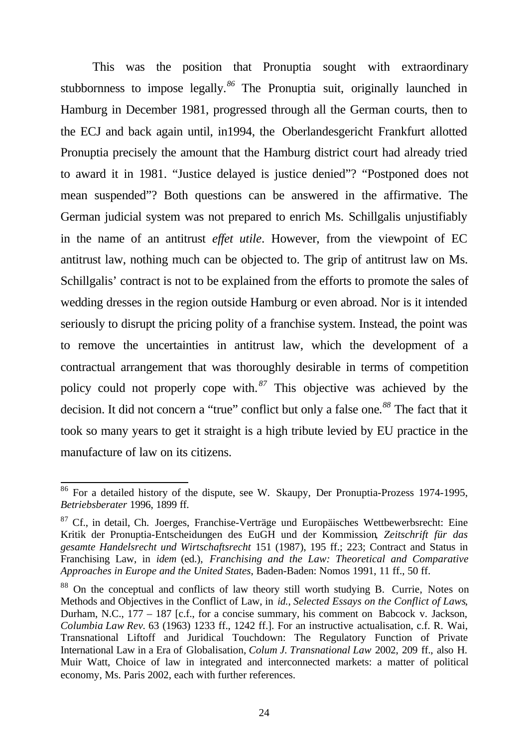This was the position that Pronuptia sought with extraordinary stubbornness to impose legally.*<sup>86</sup>* The Pronuptia suit, originally launched in Hamburg in December 1981, progressed through all the German courts, then to the ECJ and back again until, in1994, the Oberlandesgericht Frankfurt allotted Pronuptia precisely the amount that the Hamburg district court had already tried to award it in 1981. "Justice delayed is justice denied"? "Postponed does not mean suspended"? Both questions can be answered in the affirmative. The German judicial system was not prepared to enrich Ms. Schillgalis unjustifiably in the name of an antitrust *effet utile*. However, from the viewpoint of EC antitrust law, nothing much can be objected to. The grip of antitrust law on Ms. Schillgalis' contract is not to be explained from the efforts to promote the sales of wedding dresses in the region outside Hamburg or even abroad. Nor is it intended seriously to disrupt the pricing polity of a franchise system. Instead, the point was to remove the uncertainties in antitrust law, which the development of a contractual arrangement that was thoroughly desirable in terms of competition policy could not properly cope with. *<sup>87</sup>* This objective was achieved by the decision. It did not concern a "true" conflict but only a false one*. <sup>88</sup>* The fact that it took so many years to get it straight is a high tribute levied by EU practice in the manufacture of law on its citizens.

<sup>86</sup> For a detailed history of the dispute, see W. Skaupy, Der Pronuptia-Prozess 1974-1995, *Betriebsberater* 1996, 1899 ff.

 $87$  Cf., in detail, Ch. Joerges, Franchise-Verträge und Europäisches Wettbewerbsrecht: Eine Kritik der Pronuptia-Entscheidungen des EuGH und der Kommission*, Zeitschrift für das gesamte Handelsrecht und Wirtschaftsrecht* 151 (1987), 195 ff.; 223; Contract and Status in Franchising Law, in *idem* (ed.), *Franchising and the Law: Theoretical and Comparative Approaches in Europe and the United States*, Baden-Baden: Nomos 1991, 11 ff., 50 ff.

<sup>88</sup> On the conceptual and conflicts of law theory still worth studying B. Currie, Notes on Methods and Objectives in the Conflict of Law, in *id.*, *Selected Essays on the Conflict of Laws*, Durham, N.C., 177 – 187 [c.f., for a concise summary, his comment on Babcock v. Jackson, *Columbia Law Rev.* 63 (1963) 1233 ff., 1242 ff.]. For an instructive actualisation, c.f. R. Wai, Transnational Liftoff and Juridical Touchdown: The Regulatory Function of Private International Law in a Era of Globalisation, *Colum J. Transnational Law* 2002, 209 ff., also H. Muir Watt, Choice of law in integrated and interconnected markets: a matter of political economy, Ms. Paris 2002, each with further references.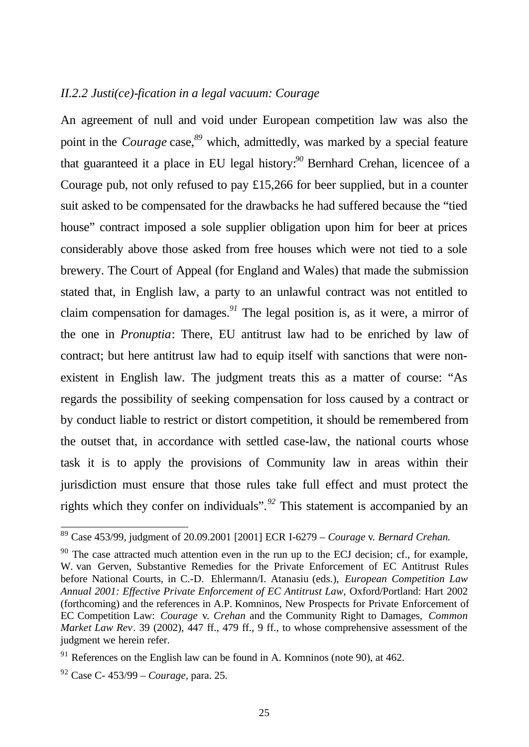#### *II.2.2 Justi(ce)-fication in a legal vacuum: Courage*

An agreement of null and void under European competition law was also the point in the *Courage* case, *<sup>89</sup>* which, admittedly, was marked by a special feature that guaranteed it a place in EU legal history:*<sup>90</sup>* Bernhard Crehan, licencee of a Courage pub, not only refused to pay £15,266 for beer supplied, but in a counter suit asked to be compensated for the drawbacks he had suffered because the "tied house" contract imposed a sole supplier obligation upon him for beer at prices considerably above those asked from free houses which were not tied to a sole brewery. The Court of Appeal (for England and Wales) that made the submission stated that, in English law, a party to an unlawful contract was not entitled to claim compensation for damages.*<sup>91</sup>* The legal position is, as it were, a mirror of the one in *Pronuptia*: There, EU antitrust law had to be enriched by law of contract; but here antitrust law had to equip itself with sanctions that were nonexistent in English law. The judgment treats this as a matter of course: "As regards the possibility of seeking compensation for loss caused by a contract or by conduct liable to restrict or distort competition, it should be remembered from the outset that, in accordance with settled case-law, the national courts whose task it is to apply the provisions of Community law in areas within their jurisdiction must ensure that those rules take full effect and must protect the rights which they confer on individuals".*<sup>92</sup>* This statement is accompanied by an

<sup>89</sup> Case 453/99, judgment of 20.09.2001 [2001] ECR I-6279 – *Courage* v*. Bernard Crehan.*

 $90$  The case attracted much attention even in the run up to the ECJ decision; cf., for example, W. van Gerven, Substantive Remedies for the Private Enforcement of EC Antitrust Rules before National Courts, in C.-D. Ehlermann/I. Atanasiu (eds.), *European Competition Law Annual 2001: Effective Private Enforcement of EC Antitrust Law*, Oxford/Portland: Hart 2002 (forthcoming) and the references in A.P. Komninos, New Prospects for Private Enforcement of EC Competition Law: *Courage* v*. Crehan* and the Community Right to Damages, *Common Market Law Rev.* 39 (2002), 447 ff., 479 ff., 9 ff., to whose comprehensive assessment of the judgment we herein refer.

 $91$  References on the English law can be found in A. Komninos (note 90), at 462.

<sup>92</sup> Case C- 453/99 *– Courage,* para. 25.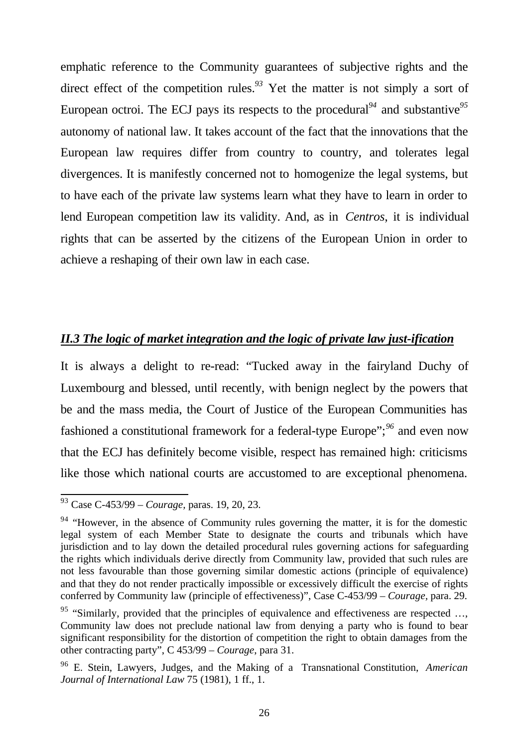emphatic reference to the Community guarantees of subjective rights and the direct effect of the competition rules.*<sup>93</sup>* Yet the matter is not simply a sort of European octroi. The ECJ pays its respects to the procedural*<sup>94</sup>* and substantive*<sup>95</sup>* autonomy of national law. It takes account of the fact that the innovations that the European law requires differ from country to country, and tolerates legal divergences. It is manifestly concerned not to homogenize the legal systems, but to have each of the private law systems learn what they have to learn in order to lend European competition law its validity. And, as in *Centros*, it is individual rights that can be asserted by the citizens of the European Union in order to achieve a reshaping of their own law in each case.

## *II.3 The logic of market integration and the logic of private law just-ification*

It is always a delight to re-read: "Tucked away in the fairyland Duchy of Luxembourg and blessed, until recently, with benign neglect by the powers that be and the mass media, the Court of Justice of the European Communities has fashioned a constitutional framework for a federal-type Europe";*<sup>96</sup>* and even now that the ECJ has definitely become visible, respect has remained high: criticisms like those which national courts are accustomed to are exceptional phenomena.

<sup>93</sup> Case C-453/99 *– Courage,* paras. 19, 20, 23.

 $94$  "However, in the absence of Community rules governing the matter, it is for the domestic legal system of each Member State to designate the courts and tribunals which have jurisdiction and to lay down the detailed procedural rules governing actions for safeguarding the rights which individuals derive directly from Community law, provided that such rules are not less favourable than those governing similar domestic actions (principle of equivalence) and that they do not render practically impossible or excessively difficult the exercise of rights conferred by Community law (principle of effectiveness)", Case C-453/99 *– Courage,* para. 29.

<sup>&</sup>lt;sup>95</sup> "Similarly, provided that the principles of equivalence and effectiveness are respected ..., Community law does not preclude national law from denying a party who is found to bear significant responsibility for the distortion of competition the right to obtain damages from the other contracting party", C 453/99 – *Courage*, para 31.

<sup>96</sup> E. Stein, Lawyers, Judges, and the Making of a Transnational Constitution, *American Journal of International Law* 75 (1981), 1 ff., 1.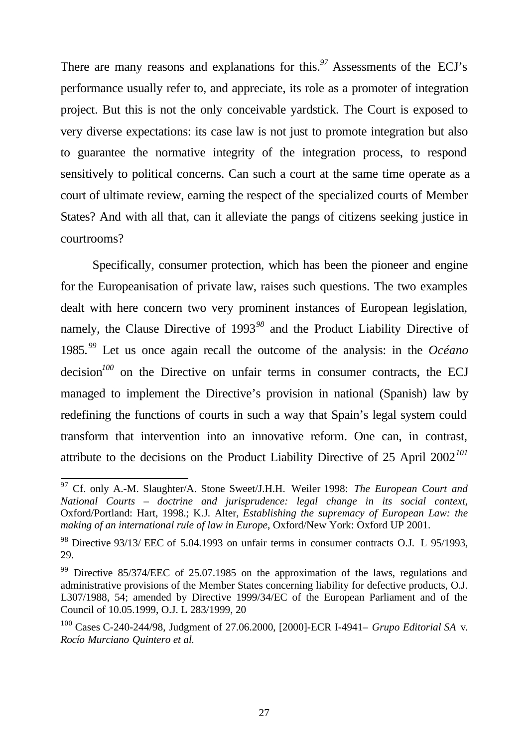There are many reasons and explanations for this.*<sup>97</sup>* Assessments of the ECJ's performance usually refer to, and appreciate, its role as a promoter of integration project. But this is not the only conceivable yardstick. The Court is exposed to very diverse expectations: its case law is not just to promote integration but also to guarantee the normative integrity of the integration process, to respond sensitively to political concerns. Can such a court at the same time operate as a court of ultimate review, earning the respect of the specialized courts of Member States? And with all that, can it alleviate the pangs of citizens seeking justice in courtrooms?

Specifically, consumer protection, which has been the pioneer and engine for the Europeanisation of private law, raises such questions. The two examples dealt with here concern two very prominent instances of European legislation, namely, the Clause Directive of 1993*<sup>98</sup>* and the Product Liability Directive of 1985.*<sup>99</sup>* Let us once again recall the outcome of the analysis: in the *Océano* decision<sup>100</sup> on the Directive on unfair terms in consumer contracts, the ECJ managed to implement the Directive's provision in national (Spanish) law by redefining the functions of courts in such a way that Spain's legal system could transform that intervention into an innovative reform. One can, in contrast, attribute to the decisions on the Product Liability Directive of 25 April 2002*<sup>101</sup>*

<sup>97</sup> Cf. only A.-M. Slaughter/A. Stone Sweet/J.H.H. Weiler 1998: *The European Court and National Courts – doctrine and jurisprudence: legal change in its social context*, Oxford/Portland: Hart, 1998.; K.J. Alter*, Establishing the supremacy of European Law: the making of an international rule of law in Europe*, Oxford/New York: Oxford UP 2001.

<sup>98</sup> Directive 93/13/ EEC of 5.04.1993 on unfair terms in consumer contracts O.J. L 95/1993, 29.

<sup>&</sup>lt;sup>99</sup> Directive 85/374/EEC of 25.07.1985 on the approximation of the laws, regulations and administrative provisions of the Member States concerning liability for defective products, O.J. L307/1988, 54; amended by Directive 1999/34/EC of the European Parliament and of the Council of 10.05.1999, O.J. L 283/1999, 20

<sup>100</sup> Cases C-240-244/98, Judgment of 27.06.2000, [2000]-ECR I-4941– *Grupo Editorial SA* v. *Rocío Murciano Quintero et al.*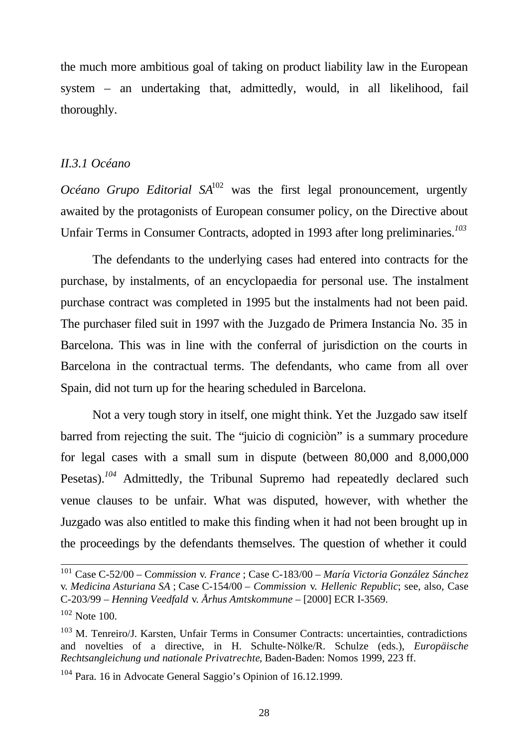the much more ambitious goal of taking on product liability law in the European system – an undertaking that, admittedly, would, in all likelihood, fail thoroughly.

#### *II.3.1 Océano*

*Océano Grupo Editorial SA*<sup>102</sup> was the first legal pronouncement, urgently awaited by the protagonists of European consumer policy, on the Directive about Unfair Terms in Consumer Contracts, adopted in 1993 after long preliminaries.*<sup>103</sup>*

The defendants to the underlying cases had entered into contracts for the purchase, by instalments, of an encyclopaedia for personal use. The instalment purchase contract was completed in 1995 but the instalments had not been paid. The purchaser filed suit in 1997 with the Juzgado de Primera Instancia No. 35 in Barcelona. This was in line with the conferral of jurisdiction on the courts in Barcelona in the contractual terms. The defendants, who came from all over Spain, did not turn up for the hearing scheduled in Barcelona.

Not a very tough story in itself, one might think. Yet the Juzgado saw itself barred from rejecting the suit. The "juicio di cogniciòn" is a summary procedure for legal cases with a small sum in dispute (between 80,000 and 8,000,000 Pesetas).<sup>104</sup> Admittedly, the Tribunal Supremo had repeatedly declared such venue clauses to be unfair. What was disputed, however, with whether the Juzgado was also entitled to make this finding when it had not been brought up in the proceedings by the defendants themselves. The question of whether it could

<sup>101</sup> Case C-52/00 – C*ommission* v*. France* ; Case C-183/00 – *María Victoria González Sánchez* v*. Medicina Asturiana SA* ; Case C-154/00 – *Commission* v*. Hellenic Republic*; see, also, Case C-203/99 – *Henning Veedfald* v*. Århus Amtskommune* – [2000] ECR I-3569.

 $102$  Note 100.

<sup>&</sup>lt;sup>103</sup> M. Tenreiro/J. Karsten, Unfair Terms in Consumer Contracts: uncertainties, contradictions and novelties of a directive, in H. Schulte-Nölke/R. Schulze (eds.), *Europäische Rechtsangleichung und nationale Privatrechte*, Baden-Baden: Nomos 1999, 223 ff.

<sup>104</sup> Para. 16 in Advocate General Saggio's Opinion of 16.12.1999.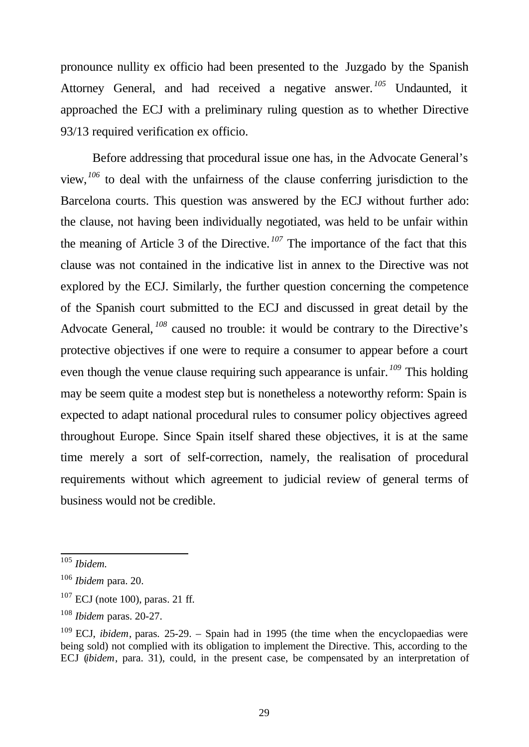pronounce nullity ex officio had been presented to the Juzgado by the Spanish Attorney General, and had received a negative answer. *<sup>105</sup>* Undaunted, it approached the ECJ with a preliminary ruling question as to whether Directive 93/13 required verification ex officio.

Before addressing that procedural issue one has, in the Advocate General's view,*<sup>106</sup>* to deal with the unfairness of the clause conferring jurisdiction to the Barcelona courts. This question was answered by the ECJ without further ado: the clause, not having been individually negotiated, was held to be unfair within the meaning of Article 3 of the Directive. *<sup>107</sup>* The importance of the fact that this clause was not contained in the indicative list in annex to the Directive was not explored by the ECJ. Similarly, the further question concerning the competence of the Spanish court submitted to the ECJ and discussed in great detail by the Advocate General, <sup>108</sup> caused no trouble: it would be contrary to the Directive's protective objectives if one were to require a consumer to appear before a court even though the venue clause requiring such appearance is unfair. *<sup>109</sup>* This holding may be seem quite a modest step but is nonetheless a noteworthy reform: Spain is expected to adapt national procedural rules to consumer policy objectives agreed throughout Europe. Since Spain itself shared these objectives, it is at the same time merely a sort of self-correction, namely, the realisation of procedural requirements without which agreement to judicial review of general terms of business would not be credible.

<sup>105</sup> *Ibidem.*

<sup>106</sup> *Ibidem* para. 20.

 $107$  ECJ (note 100), paras. 21 ff.

<sup>108</sup> *Ibidem* paras. 20-27.

<sup>&</sup>lt;sup>109</sup> ECJ, *ibidem*, paras. 25-29. – Spain had in 1995 (the time when the encyclopaedias were being sold) not complied with its obligation to implement the Directive. This, according to the ECJ (*ibidem*, para. 31), could, in the present case, be compensated by an interpretation of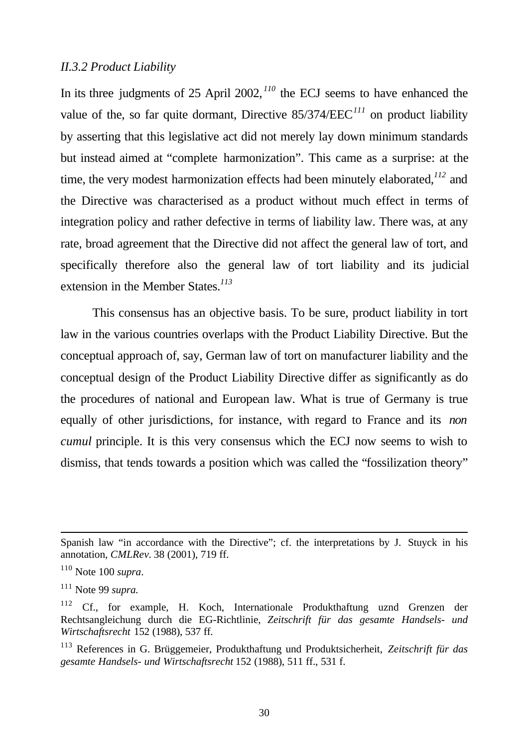#### *II.3.2 Product Liability*

In its three judgments of 25 April 2002, *<sup>110</sup>* the ECJ seems to have enhanced the value of the, so far quite dormant, Directive 85/374/EEC*<sup>111</sup>* on product liability by asserting that this legislative act did not merely lay down minimum standards but instead aimed at "complete harmonization". This came as a surprise: at the time, the very modest harmonization effects had been minutely elaborated,*<sup>112</sup>* and the Directive was characterised as a product without much effect in terms of integration policy and rather defective in terms of liability law. There was, at any rate, broad agreement that the Directive did not affect the general law of tort, and specifically therefore also the general law of tort liability and its judicial extension in the Member States.*<sup>113</sup>*

This consensus has an objective basis. To be sure, product liability in tort law in the various countries overlaps with the Product Liability Directive. But the conceptual approach of, say, German law of tort on manufacturer liability and the conceptual design of the Product Liability Directive differ as significantly as do the procedures of national and European law. What is true of Germany is true equally of other jurisdictions, for instance, with regard to France and its *non cumul* principle. It is this very consensus which the ECJ now seems to wish to dismiss, that tends towards a position which was called the "fossilization theory"

Spanish law "in accordance with the Directive"; cf. the interpretations by J. Stuyck in his annotation, *CMLRev.* 38 (2001), 719 ff.

<sup>110</sup> Note 100 *supra*.

<sup>111</sup> Note 99 *supra.*

<sup>&</sup>lt;sup>112</sup> Cf., for example, H. Koch, Internationale Produkthaftung uznd Grenzen der Rechtsangleichung durch die EG-Richtlinie, *Zeitschrift für das gesamte Handsels- und Wirtschaftsrecht* 152 (1988), 537 ff.

<sup>113</sup> References in G. Brüggemeier, Produkthaftung und Produktsicherheit, *Zeitschrift für das gesamte Handsels- und Wirtschaftsrecht* 152 (1988), 511 ff., 531 f.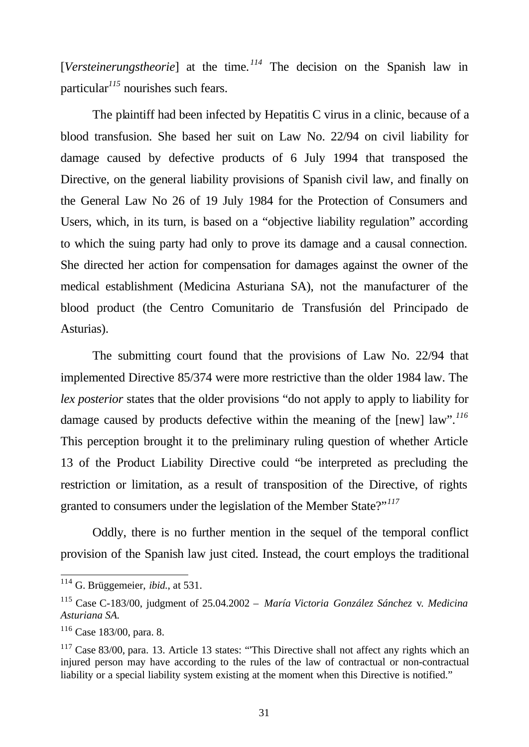[*Versteinerungstheorie*] at the time. *<sup>114</sup>* The decision on the Spanish law in particular*<sup>115</sup>* nourishes such fears.

The plaintiff had been infected by Hepatitis C virus in a clinic, because of a blood transfusion. She based her suit on Law No. 22/94 on civil liability for damage caused by defective products of 6 July 1994 that transposed the Directive, on the general liability provisions of Spanish civil law, and finally on the General Law No 26 of 19 July 1984 for the Protection of Consumers and Users, which, in its turn, is based on a "objective liability regulation" according to which the suing party had only to prove its damage and a causal connection. She directed her action for compensation for damages against the owner of the medical establishment (Medicina Asturiana SA), not the manufacturer of the blood product (the Centro Comunitario de Transfusión del Principado de Asturias).

The submitting court found that the provisions of Law No. 22/94 that implemented Directive 85/374 were more restrictive than the older 1984 law. The *lex posterior* states that the older provisions "do not apply to apply to liability for damage caused by products defective within the meaning of the [new] law".*<sup>116</sup>* This perception brought it to the preliminary ruling question of whether Article 13 of the Product Liability Directive could "be interpreted as precluding the restriction or limitation, as a result of transposition of the Directive, of rights granted to consumers under the legislation of the Member State?"*<sup>117</sup>*

Oddly, there is no further mention in the sequel of the temporal conflict provision of the Spanish law just cited. Instead, the court employs the traditional

<sup>114</sup> G. Brüggemeier, *ibid.*, at 531.

<sup>115</sup> Case C-183/00, judgment of 25.04.2002 – *María Victoria González Sánchez* v*. Medicina Asturiana SA.*

<sup>116</sup> Case 183/00, para. 8.

<sup>&</sup>lt;sup>117</sup> Case 83/00, para. 13. Article 13 states: "This Directive shall not affect any rights which an injured person may have according to the rules of the law of contractual or non-contractual liability or a special liability system existing at the moment when this Directive is notified."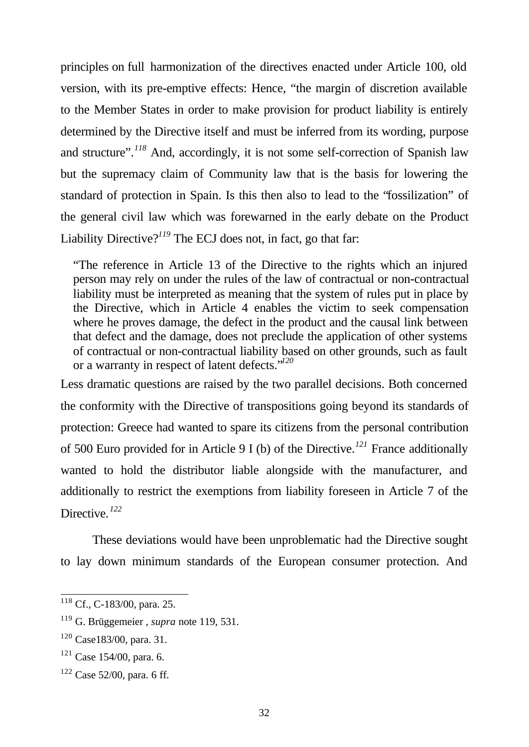principles on full harmonization of the directives enacted under Article 100, old version, with its pre-emptive effects: Hence, "the margin of discretion available to the Member States in order to make provision for product liability is entirely determined by the Directive itself and must be inferred from its wording, purpose and structure".*<sup>118</sup>* And, accordingly, it is not some self-correction of Spanish law but the supremacy claim of Community law that is the basis for lowering the standard of protection in Spain. Is this then also to lead to the "fossilization" of the general civil law which was forewarned in the early debate on the Product Liability Directive?<sup>119</sup> The ECJ does not, in fact, go that far:

"The reference in Article 13 of the Directive to the rights which an injured person may rely on under the rules of the law of contractual or non-contractual liability must be interpreted as meaning that the system of rules put in place by the Directive, which in Article 4 enables the victim to seek compensation where he proves damage, the defect in the product and the causal link between that defect and the damage, does not preclude the application of other systems of contractual or non-contractual liability based on other grounds, such as fault or a warranty in respect of latent defects."*<sup>120</sup>*

Less dramatic questions are raised by the two parallel decisions. Both concerned the conformity with the Directive of transpositions going beyond its standards of protection: Greece had wanted to spare its citizens from the personal contribution of 500 Euro provided for in Article 9 I (b) of the Directive.*<sup>121</sup>* France additionally wanted to hold the distributor liable alongside with the manufacturer, and additionally to restrict the exemptions from liability foreseen in Article 7 of the Directive. *<sup>122</sup>*

These deviations would have been unproblematic had the Directive sought to lay down minimum standards of the European consumer protection. And

<sup>&</sup>lt;sup>118</sup> Cf., C-183/00, para. 25.

<sup>119</sup> G. Brüggemeier , *supra* note 119, 531.

<sup>120</sup> Case183/00, para. 31.

<sup>121</sup> Case 154/00, para. 6.

 $122$  Case 52/00, para. 6 ff.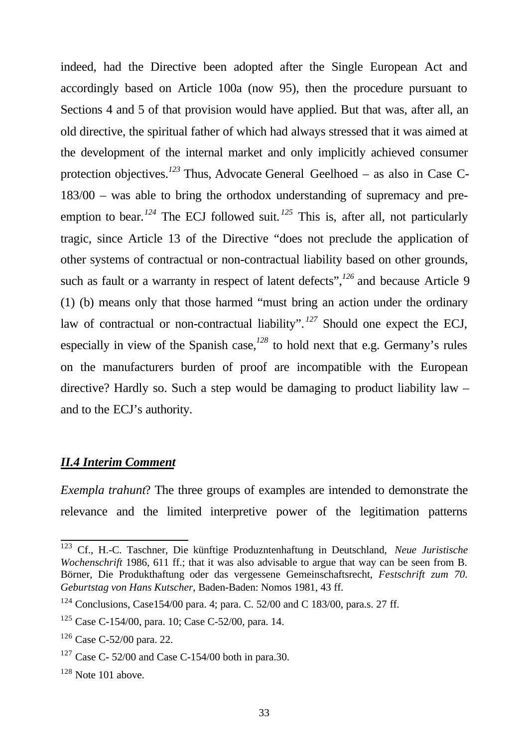indeed, had the Directive been adopted after the Single European Act and accordingly based on Article 100a (now 95), then the procedure pursuant to Sections 4 and 5 of that provision would have applied. But that was, after all, an old directive, the spiritual father of which had always stressed that it was aimed at the development of the internal market and only implicitly achieved consumer protection objectives.*<sup>123</sup>* Thus, Advocate General Geelhoed – as also in Case C-183/00 – was able to bring the orthodox understanding of supremacy and preemption to bear.<sup>124</sup> The ECJ followed suit.<sup>125</sup> This is, after all, not particularly tragic, since Article 13 of the Directive "does not preclude the application of other systems of contractual or non-contractual liability based on other grounds, such as fault or a warranty in respect of latent defects",*<sup>126</sup>* and because Article 9 (1) (b) means only that those harmed "must bring an action under the ordinary law of contractual or non-contractual liability". *<sup>127</sup>* Should one expect the ECJ, especially in view of the Spanish case,*<sup>128</sup>* to hold next that e.g. Germany's rules on the manufacturers burden of proof are incompatible with the European directive? Hardly so. Such a step would be damaging to product liability law – and to the ECJ's authority.

#### *II.4 Interim Comment*

*Exempla trahunt*? The three groups of examples are intended to demonstrate the relevance and the limited interpretive power of the legitimation patterns

<sup>123</sup> Cf., H.-C. Taschner, Die künftige Produzntenhaftung in Deutschland, *Neue Juristische Wochenschrift* 1986, 611 ff.; that it was also advisable to argue that way can be seen from B. Börner, Die Produkthaftung oder das vergessene Gemeinschaftsrecht, *Festschrift zum 70. Geburtstag von Hans Kutscher*, Baden-Baden: Nomos 1981, 43 ff.

<sup>&</sup>lt;sup>124</sup> Conclusions, Case154/00 para. 4; para. C. 52/00 and C 183/00, para.s. 27 ff.

<sup>125</sup> Case C-154/00, para. 10; Case C-52/00, para. 14.

<sup>126</sup> Case C-52/00 para. 22.

 $127$  Case C- 52/00 and Case C-154/00 both in para.30.

 $128$  Note 101 above.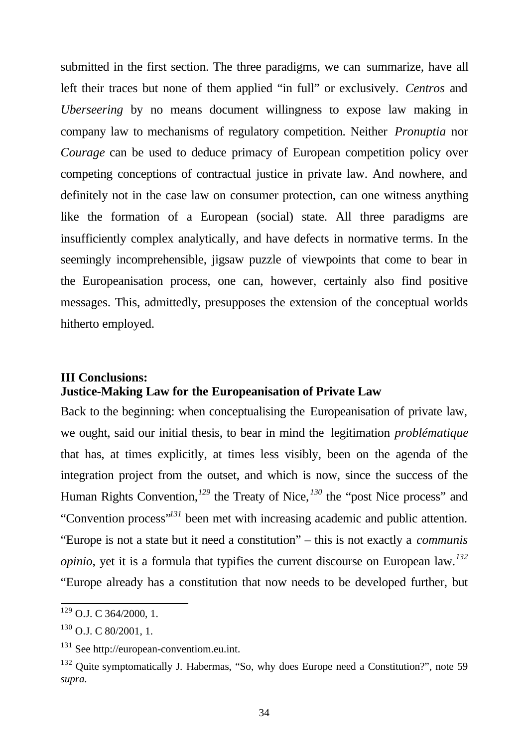submitted in the first section. The three paradigms, we can summarize, have all left their traces but none of them applied "in full" or exclusively. *Centros* and *Uberseering* by no means document willingness to expose law making in company law to mechanisms of regulatory competition. Neither *Pronuptia* nor *Courage* can be used to deduce primacy of European competition policy over competing conceptions of contractual justice in private law. And nowhere, and definitely not in the case law on consumer protection, can one witness anything like the formation of a European (social) state. All three paradigms are insufficiently complex analytically, and have defects in normative terms. In the seemingly incomprehensible, jigsaw puzzle of viewpoints that come to bear in the Europeanisation process, one can, however, certainly also find positive messages. This, admittedly, presupposes the extension of the conceptual worlds hitherto employed.

## **III Conclusions: Justice-Making Law for the Europeanisation of Private Law**

Back to the beginning: when conceptualising the Europeanisation of private law, we ought, said our initial thesis, to bear in mind the legitimation *problématique* that has, at times explicitly, at times less visibly, been on the agenda of the integration project from the outset, and which is now, since the success of the Human Rights Convention,<sup>129</sup> the Treaty of Nice,<sup>130</sup> the "post Nice process" and "Convention process"*<sup>131</sup>* been met with increasing academic and public attention. "Europe is not a state but it need a constitution" – this is not exactly a *communis opinio*, yet it is a formula that typifies the current discourse on European law.*<sup>132</sup>* "Europe already has a constitution that now needs to be developed further, but

 $129$  O.J. C 364/2000, 1.

 $130$  O.J. C 80/2001, 1.

<sup>&</sup>lt;sup>131</sup> See http://european-conventiom.eu.int.

<sup>&</sup>lt;sup>132</sup> Ouite symptomatically J. Habermas, "So, why does Europe need a Constitution?", note 59 *supra.*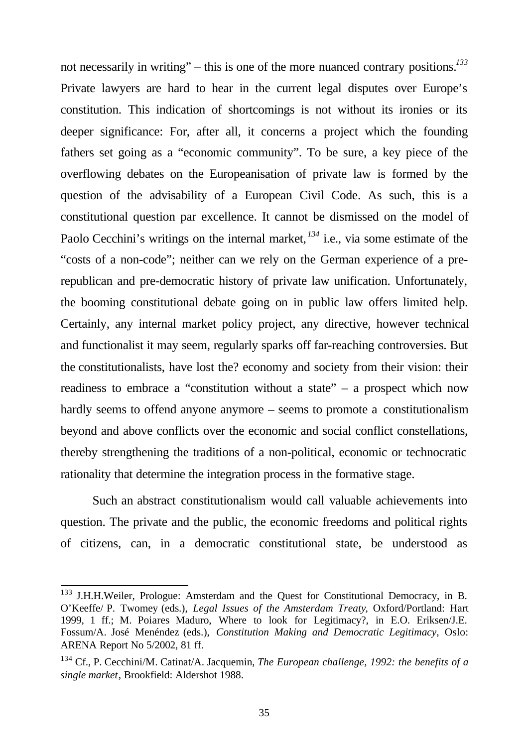not necessarily in writing" – this is one of the more nuanced contrary positions.*<sup>133</sup>* Private lawyers are hard to hear in the current legal disputes over Europe's constitution. This indication of shortcomings is not without its ironies or its deeper significance: For, after all, it concerns a project which the founding fathers set going as a "economic community". To be sure, a key piece of the overflowing debates on the Europeanisation of private law is formed by the question of the advisability of a European Civil Code. As such, this is a constitutional question par excellence. It cannot be dismissed on the model of Paolo Cecchini's writings on the internal market, *<sup>134</sup>* i.e., via some estimate of the "costs of a non-code"; neither can we rely on the German experience of a prerepublican and pre-democratic history of private law unification. Unfortunately, the booming constitutional debate going on in public law offers limited help. Certainly, any internal market policy project, any directive, however technical and functionalist it may seem, regularly sparks off far-reaching controversies. But the constitutionalists, have lost the? economy and society from their vision: their readiness to embrace a "constitution without a state" – a prospect which now hardly seems to offend anyone anymore – seems to promote a constitutionalism beyond and above conflicts over the economic and social conflict constellations, thereby strengthening the traditions of a non-political, economic or technocratic rationality that determine the integration process in the formative stage.

Such an abstract constitutionalism would call valuable achievements into question. The private and the public, the economic freedoms and political rights of citizens, can, in a democratic constitutional state, be understood as

<sup>&</sup>lt;sup>133</sup> J.H.H.Weiler, Prologue: Amsterdam and the Quest for Constitutional Democracy, in B. O'Keeffe/ P. Twomey (eds.), *Legal Issues of the Amsterdam Treaty*, Oxford/Portland: Hart 1999, 1 ff.; M. Poiares Maduro, Where to look for Legitimacy?, in E.O. Eriksen/J.E. Fossum/A. José Menéndez (eds.), *Constitution Making and Democratic Legitimacy*, Oslo: ARENA Report No 5/2002, 81 ff.

<sup>134</sup> Cf., P. Cecchini/M. Catinat/A. Jacquemin, *The European challenge, 1992: the benefits of a single market*, Brookfield: Aldershot 1988.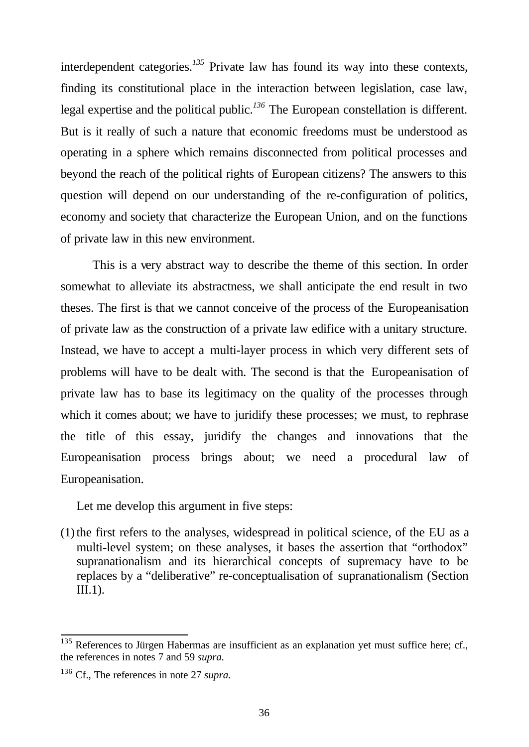interdependent categories.*<sup>135</sup>* Private law has found its way into these contexts, finding its constitutional place in the interaction between legislation, case law, legal expertise and the political public.*<sup>136</sup>* The European constellation is different. But is it really of such a nature that economic freedoms must be understood as operating in a sphere which remains disconnected from political processes and beyond the reach of the political rights of European citizens? The answers to this question will depend on our understanding of the re-configuration of politics, economy and society that characterize the European Union, and on the functions of private law in this new environment.

This is a very abstract way to describe the theme of this section. In order somewhat to alleviate its abstractness, we shall anticipate the end result in two theses. The first is that we cannot conceive of the process of the Europeanisation of private law as the construction of a private law edifice with a unitary structure. Instead, we have to accept a multi-layer process in which very different sets of problems will have to be dealt with. The second is that the Europeanisation of private law has to base its legitimacy on the quality of the processes through which it comes about; we have to juridify these processes; we must, to rephrase the title of this essay, juridify the changes and innovations that the Europeanisation process brings about; we need a procedural law of Europeanisation.

Let me develop this argument in five steps:

 $(1)$  the first refers to the analyses, widespread in political science, of the EU as a multi-level system; on these analyses, it bases the assertion that "orthodox" supranationalism and its hierarchical concepts of supremacy have to be replaces by a "deliberative" re-conceptualisation of supranationalism (Section III.1).

 $135$  References to Jürgen Habermas are insufficient as an explanation yet must suffice here; cf., the references in notes 7 and 59 *supra.*

<sup>136</sup> Cf., The references in note 27 *supra.*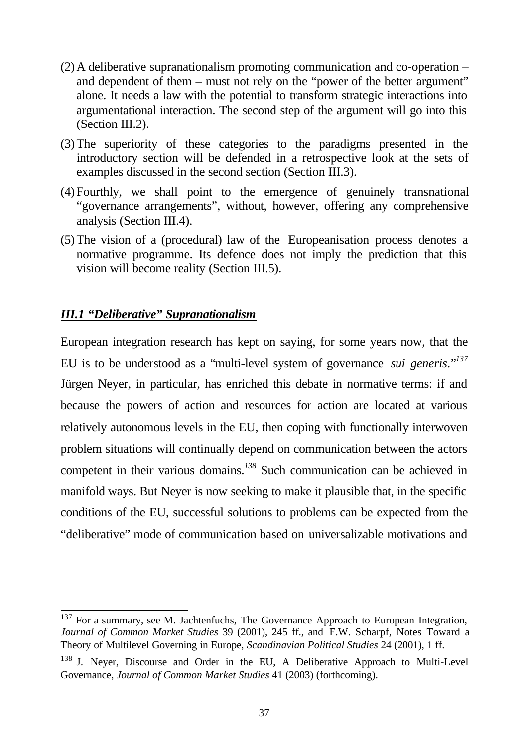- (2)A deliberative supranationalism promoting communication and co-operation and dependent of them – must not rely on the "power of the better argument" alone. It needs a law with the potential to transform strategic interactions into argumentational interaction. The second step of the argument will go into this (Section III.2).
- (3)The superiority of these categories to the paradigms presented in the introductory section will be defended in a retrospective look at the sets of examples discussed in the second section (Section III.3).
- (4)Fourthly, we shall point to the emergence of genuinely transnational "governance arrangements", without, however, offering any comprehensive analysis (Section III.4).
- (5)The vision of a (procedural) law of the Europeanisation process denotes a normative programme. Its defence does not imply the prediction that this vision will become reality (Section III.5).

## *III.1 "Deliberative" Supranationalism*

l

European integration research has kept on saying, for some years now, that the EU is to be understood as a "multi-level system of governance *sui generis*."*<sup>137</sup>* Jürgen Neyer, in particular, has enriched this debate in normative terms: if and because the powers of action and resources for action are located at various relatively autonomous levels in the EU, then coping with functionally interwoven problem situations will continually depend on communication between the actors competent in their various domains.*<sup>138</sup>* Such communication can be achieved in manifold ways. But Neyer is now seeking to make it plausible that, in the specific conditions of the EU, successful solutions to problems can be expected from the "deliberative" mode of communication based on universalizable motivations and

 $137$  For a summary, see M. Jachtenfuchs, The Governance Approach to European Integration, *Journal of Common Market Studies* 39 (2001), 245 ff., and F.W. Scharpf, Notes Toward a Theory of Multilevel Governing in Europe, *Scandinavian Political Studies* 24 (2001), 1 ff.

<sup>&</sup>lt;sup>138</sup> J. Never, Discourse and Order in the EU, A Deliberative Approach to Multi-Level Governance, *Journal of Common Market Studies* 41 (2003) (forthcoming).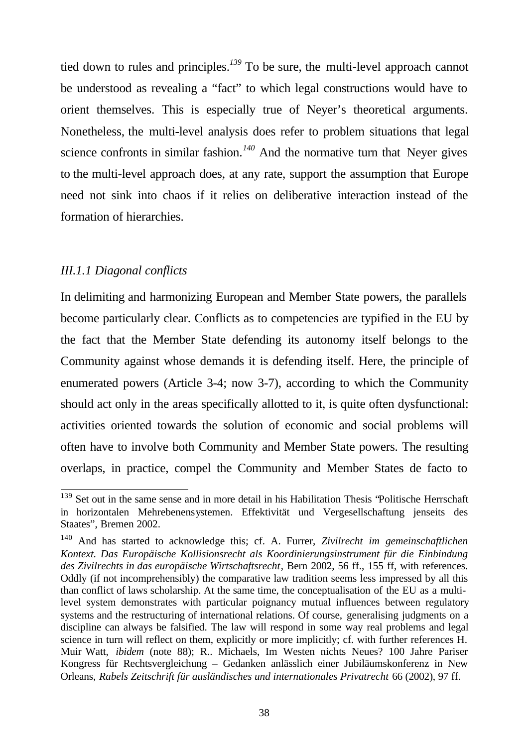tied down to rules and principles.*<sup>139</sup>* To be sure, the multi-level approach cannot be understood as revealing a "fact" to which legal constructions would have to orient themselves. This is especially true of Neyer's theoretical arguments. Nonetheless, the multi-level analysis does refer to problem situations that legal science confronts in similar fashion.*<sup>140</sup>* And the normative turn that Neyer gives to the multi-level approach does, at any rate, support the assumption that Europe need not sink into chaos if it relies on deliberative interaction instead of the formation of hierarchies.

## *III.1.1 Diagonal conflicts*

l

In delimiting and harmonizing European and Member State powers, the parallels become particularly clear. Conflicts as to competencies are typified in the EU by the fact that the Member State defending its autonomy itself belongs to the Community against whose demands it is defending itself. Here, the principle of enumerated powers (Article 3-4; now 3-7), according to which the Community should act only in the areas specifically allotted to it, is quite often dysfunctional: activities oriented towards the solution of economic and social problems will often have to involve both Community and Member State powers. The resulting overlaps, in practice, compel the Community and Member States de facto to

<sup>&</sup>lt;sup>139</sup> Set out in the same sense and in more detail in his Habilitation Thesis "Politische Herrschaft" in horizontalen Mehrebenensystemen. Effektivität und Vergesellschaftung jenseits des Staates", Bremen 2002.

<sup>140</sup> And has started to acknowledge this; cf. A. Furrer, *Zivilrecht im gemeinschaftlichen Kontext. Das Europäische Kollisionsrecht als Koordinierungsinstrument für die Einbindung des Zivilrechts in das europäische Wirtschaftsrecht*, Bern 2002, 56 ff., 155 ff, with references. Oddly (if not incomprehensibly) the comparative law tradition seems less impressed by all this than conflict of laws scholarship. At the same time, the conceptualisation of the EU as a multilevel system demonstrates with particular poignancy mutual influences between regulatory systems and the restructuring of international relations. Of course, generalising judgments on a discipline can always be falsified. The law will respond in some way real problems and legal science in turn will reflect on them, explicitly or more implicitly; cf. with further references H. Muir Watt, *ibidem* (note 88); R.. Michaels, Im Westen nichts Neues? 100 Jahre Pariser Kongress für Rechtsvergleichung – Gedanken anlässlich einer Jubiläumskonferenz in New Orleans, *Rabels Zeitschrift für ausländisches und internationales Privatrecht* 66 (2002), 97 ff.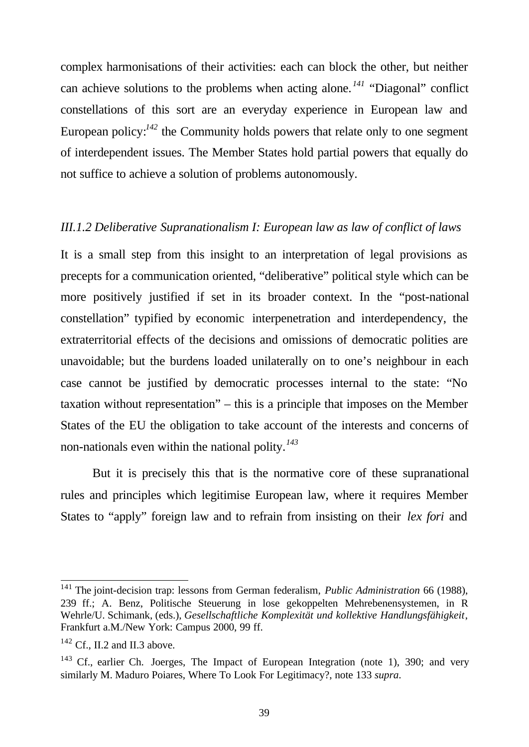complex harmonisations of their activities: each can block the other, but neither can achieve solutions to the problems when acting alone. *<sup>141</sup>* "Diagonal" conflict constellations of this sort are an everyday experience in European law and European policy:*<sup>142</sup>* the Community holds powers that relate only to one segment of interdependent issues. The Member States hold partial powers that equally do not suffice to achieve a solution of problems autonomously.

## *III.1.2 Deliberative Supranationalism I: European law as law of conflict of laws*

It is a small step from this insight to an interpretation of legal provisions as precepts for a communication oriented, "deliberative" political style which can be more positively justified if set in its broader context. In the "post-national constellation" typified by economic interpenetration and interdependency, the extraterritorial effects of the decisions and omissions of democratic polities are unavoidable; but the burdens loaded unilaterally on to one's neighbour in each case cannot be justified by democratic processes internal to the state: "No taxation without representation" – this is a principle that imposes on the Member States of the EU the obligation to take account of the interests and concerns of non-nationals even within the national polity.*<sup>143</sup>*

But it is precisely this that is the normative core of these supranational rules and principles which legitimise European law, where it requires Member States to "apply" foreign law and to refrain from insisting on their *lex fori* and

<sup>141</sup> The joint-decision trap: lessons from German federalism, *Public Administration* 66 (1988), 239 ff.; A. Benz, Politische Steuerung in lose gekoppelten Mehrebenensystemen, in R Wehrle/U. Schimank, (eds.), *Gesellschaftliche Komplexität und kollektive Handlungsfähigkeit*, Frankfurt a.M./New York: Campus 2000, 99 ff.

 $142$  Cf., II.2 and II.3 above.

 $143$  Cf., earlier Ch. Joerges, The Impact of European Integration (note 1), 390; and very similarly M. Maduro Poiares, Where To Look For Legitimacy?, note 133 *supra*.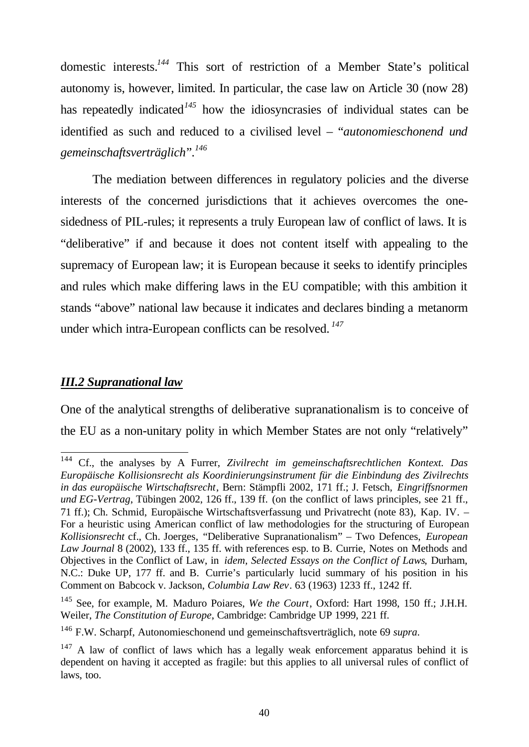domestic interests.*<sup>144</sup>* This sort of restriction of a Member State's political autonomy is, however, limited. In particular, the case law on Article 30 (now 28) has repeatedly indicated<sup>145</sup> how the idiosyncrasies of individual states can be identified as such and reduced to a civilised level – "*autonomieschonend und gemeinschaftsverträglich*".*<sup>146</sup>*

The mediation between differences in regulatory policies and the diverse interests of the concerned jurisdictions that it achieves overcomes the onesidedness of PIL-rules; it represents a truly European law of conflict of laws. It is "deliberative" if and because it does not content itself with appealing to the supremacy of European law; it is European because it seeks to identify principles and rules which make differing laws in the EU compatible; with this ambition it stands "above" national law because it indicates and declares binding a metanorm under which intra-European conflicts can be resolved. *<sup>147</sup>*

## *III.2 Supranational law*

One of the analytical strengths of deliberative supranationalism is to conceive of the EU as a non-unitary polity in which Member States are not only "relatively"

 $144\,$ <sup>144</sup> Cf., the analyses by A Furrer, *Zivilrecht im gemeinschaftsrechtlichen Kontext. Das Europäische Kollisionsrecht als Koordinierungsinstrument für die Einbindung des Zivilrechts in das europäische Wirtschaftsrecht*, Bern: Stämpfli 2002, 171 ff.; J. Fetsch, *Eingriffsnormen und EG-Vertrag*, Tübingen 2002, 126 ff., 139 ff. (on the conflict of laws principles, see 21 ff., 71 ff.); Ch. Schmid, Europäische Wirtschaftsverfassung und Privatrecht (note 83), Kap. IV. – For a heuristic using American conflict of law methodologies for the structuring of European *Kollisionsrecht* cf., Ch. Joerges, "Deliberative Supranationalism" – Two Defences, *European Law Journal* 8 (2002), 133 ff., 135 ff. with references esp. to B. Currie, Notes on Methods and Objectives in the Conflict of Law, in *idem, Selected Essays on the Conflict of Laws*, Durham, N.C.: Duke UP, 177 ff. and B. Currie's particularly lucid summary of his position in his Comment on Babcock v. Jackson, *Columbia Law Rev*. 63 (1963) 1233 ff., 1242 ff.

<sup>145</sup> See, for example, M. Maduro Poiares, *We the Court*, Oxford: Hart 1998, 150 ff.; J.H.H. Weiler, *The Constitution of Europe*, Cambridge: Cambridge UP 1999, 221 ff.

<sup>146</sup> F.W. Scharpf, Autonomieschonend und gemeinschaftsverträglich, note 69 *supra*.

 $147$  A law of conflict of laws which has a legally weak enforcement apparatus behind it is dependent on having it accepted as fragile: but this applies to all universal rules of conflict of laws, too.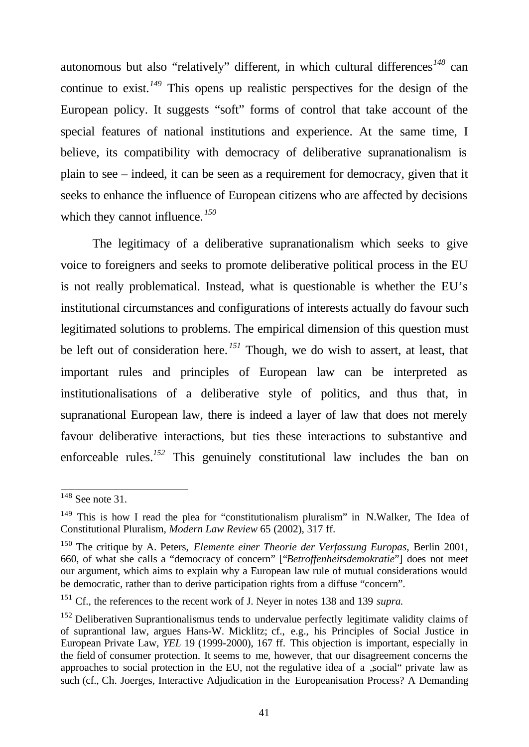autonomous but also "relatively" different, in which cultural differences<sup>148</sup> can continue to exist.*<sup>149</sup>* This opens up realistic perspectives for the design of the European policy. It suggests "soft" forms of control that take account of the special features of national institutions and experience. At the same time, I believe, its compatibility with democracy of deliberative supranationalism is plain to see – indeed, it can be seen as a requirement for democracy, given that it seeks to enhance the influence of European citizens who are affected by decisions which they cannot influence.<sup>150</sup>

The legitimacy of a deliberative supranationalism which seeks to give voice to foreigners and seeks to promote deliberative political process in the EU is not really problematical. Instead, what is questionable is whether the EU's institutional circumstances and configurations of interests actually do favour such legitimated solutions to problems. The empirical dimension of this question must be left out of consideration here. *<sup>151</sup>* Though, we do wish to assert, at least, that important rules and principles of European law can be interpreted as institutionalisations of a deliberative style of politics, and thus that, in supranational European law, there is indeed a layer of law that does not merely favour deliberative interactions, but ties these interactions to substantive and enforceable rules.<sup>152</sup> This genuinely constitutional law includes the ban on

l  $148$  See note 31.

<sup>&</sup>lt;sup>149</sup> This is how I read the plea for "constitutionalism pluralism" in N.Walker, The Idea of Constitutional Pluralism, *Modern Law Review* 65 (2002), 317 ff.

<sup>150</sup> The critique by A. Peters, *Elemente einer Theorie der Verfassung Europas*, Berlin 2001, 660, of what she calls a "democracy of concern" ["*Betroffenheitsdemokratie*"] does not meet our argument, which aims to explain why a European law rule of mutual considerations would be democratic, rather than to derive participation rights from a diffuse "concern".

<sup>151</sup> Cf., the references to the recent work of J. Neyer in notes 138 and 139 *supra.*

<sup>&</sup>lt;sup>152</sup> Deliberativen Suprantionalismus tends to undervalue perfectly legitimate validity claims of of suprantional law, argues Hans-W. Micklitz; cf., e.g., his Principles of Social Justice in European Private Law, *YEL* 19 (1999-2000), 167 ff. This objection is important, especially in the field of consumer protection. It seems to me, however, that our disagreement concerns the approaches to social protection in the EU, not the regulative idea of a "social" private law as such (cf., Ch. Joerges, Interactive Adjudication in the Europeanisation Process? A Demanding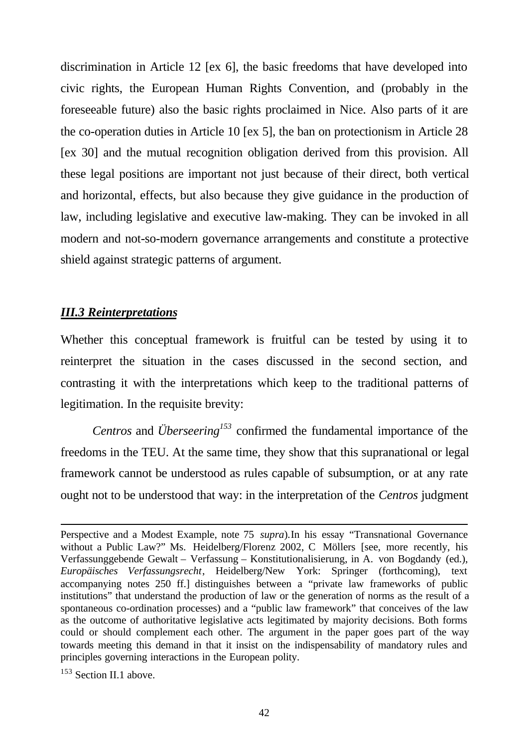discrimination in Article 12 [ex 6], the basic freedoms that have developed into civic rights, the European Human Rights Convention, and (probably in the foreseeable future) also the basic rights proclaimed in Nice. Also parts of it are the co-operation duties in Article 10 [ex 5], the ban on protectionism in Article 28 [ex 30] and the mutual recognition obligation derived from this provision. All these legal positions are important not just because of their direct, both vertical and horizontal, effects, but also because they give guidance in the production of law, including legislative and executive law-making. They can be invoked in all modern and not-so-modern governance arrangements and constitute a protective shield against strategic patterns of argument.

## *III.3 Reinterpretations*

Whether this conceptual framework is fruitful can be tested by using it to reinterpret the situation in the cases discussed in the second section, and contrasting it with the interpretations which keep to the traditional patterns of legitimation. In the requisite brevity:

*Centros* and *Überseering<sup>153</sup>* confirmed the fundamental importance of the freedoms in the TEU. At the same time, they show that this supranational or legal framework cannot be understood as rules capable of subsumption, or at any rate ought not to be understood that way: in the interpretation of the *Centros* judgment

Perspective and a Modest Example, note 75 *supra*).In his essay "Transnational Governance without a Public Law?" Ms. Heidelberg/Florenz 2002, C Möllers [see, more recently, his Verfassunggebende Gewalt – Verfassung – Konstitutionalisierung, in A. von Bogdandy (ed.), *Europäisches Verfassungsrecht*, Heidelberg/New York: Springer (forthcoming), text accompanying notes 250 ff.] distinguishes between a "private law frameworks of public institutions" that understand the production of law or the generation of norms as the result of a spontaneous co-ordination processes) and a "public law framework" that conceives of the law as the outcome of authoritative legislative acts legitimated by majority decisions. Both forms could or should complement each other. The argument in the paper goes part of the way towards meeting this demand in that it insist on the indispensability of mandatory rules and principles governing interactions in the European polity.

<sup>&</sup>lt;sup>153</sup> Section II.1 above.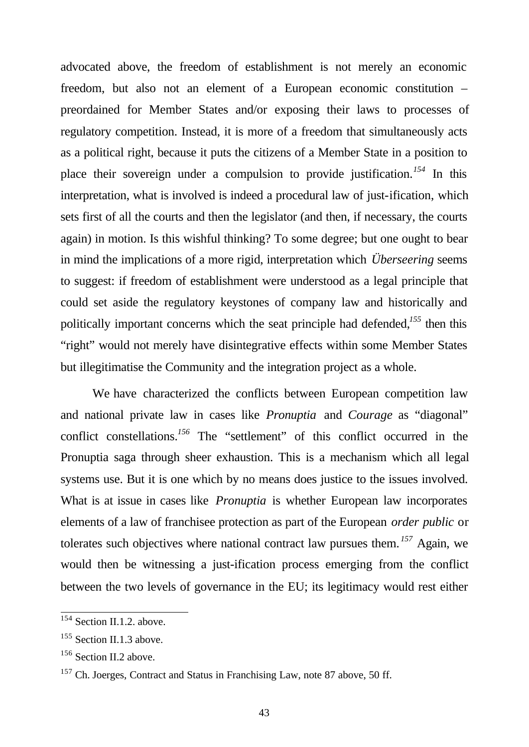advocated above, the freedom of establishment is not merely an economic freedom, but also not an element of a European economic constitution – preordained for Member States and/or exposing their laws to processes of regulatory competition. Instead, it is more of a freedom that simultaneously acts as a political right, because it puts the citizens of a Member State in a position to place their sovereign under a compulsion to provide justification.*<sup>154</sup>* In this interpretation, what is involved is indeed a procedural law of just-ification, which sets first of all the courts and then the legislator (and then, if necessary, the courts again) in motion. Is this wishful thinking? To some degree; but one ought to bear in mind the implications of a more rigid, interpretation which *Überseering* seems to suggest: if freedom of establishment were understood as a legal principle that could set aside the regulatory keystones of company law and historically and politically important concerns which the seat principle had defended,*<sup>155</sup>* then this "right" would not merely have disintegrative effects within some Member States but illegitimatise the Community and the integration project as a whole.

We have characterized the conflicts between European competition law and national private law in cases like *Pronuptia* and *Courage* as "diagonal" conflict constellations.<sup>156</sup> The "settlement" of this conflict occurred in the Pronuptia saga through sheer exhaustion. This is a mechanism which all legal systems use. But it is one which by no means does justice to the issues involved. What is at issue in cases like *Pronuptia* is whether European law incorporates elements of a law of franchisee protection as part of the European *order public* or tolerates such objectives where national contract law pursues them. *<sup>157</sup>* Again, we would then be witnessing a just-ification process emerging from the conflict between the two levels of governance in the EU; its legitimacy would rest either

<sup>&</sup>lt;sup>154</sup> Section II.1.2. above.

<sup>&</sup>lt;sup>155</sup> Section II.1.3 above.

<sup>156</sup> Section II.2 above.

<sup>&</sup>lt;sup>157</sup> Ch. Joerges, Contract and Status in Franchising Law, note 87 above, 50 ff.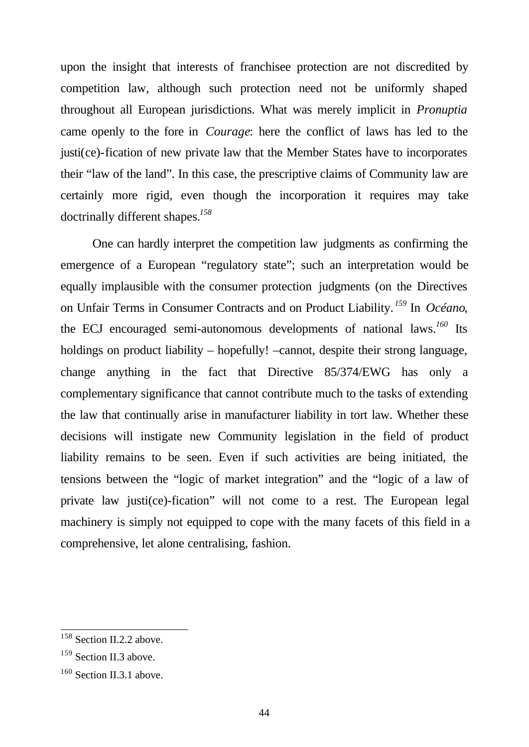upon the insight that interests of franchisee protection are not discredited by competition law, although such protection need not be uniformly shaped throughout all European jurisdictions. What was merely implicit in *Pronuptia* came openly to the fore in *Courage*: here the conflict of laws has led to the justi(ce)-fication of new private law that the Member States have to incorporates their "law of the land". In this case, the prescriptive claims of Community law are certainly more rigid, even though the incorporation it requires may take doctrinally different shapes.*<sup>158</sup>*

One can hardly interpret the competition law judgments as confirming the emergence of a European "regulatory state"; such an interpretation would be equally implausible with the consumer protection judgments (on the Directives on Unfair Terms in Consumer Contracts and on Product Liability. *<sup>159</sup>* In *Océano*, the ECJ encouraged semi-autonomous developments of national laws.*<sup>160</sup>* Its holdings on product liability – hopefully! –cannot, despite their strong language, change anything in the fact that Directive 85/374/EWG has only a complementary significance that cannot contribute much to the tasks of extending the law that continually arise in manufacturer liability in tort law. Whether these decisions will instigate new Community legislation in the field of product liability remains to be seen. Even if such activities are being initiated, the tensions between the "logic of market integration" and the "logic of a law of private law justi(ce)-fication" will not come to a rest. The European legal machinery is simply not equipped to cope with the many facets of this field in a comprehensive, let alone centralising, fashion.

<sup>&</sup>lt;sup>158</sup> Section II.2.2 above.

<sup>&</sup>lt;sup>159</sup> Section II.3 above.

<sup>&</sup>lt;sup>160</sup> Section II.3.1 above.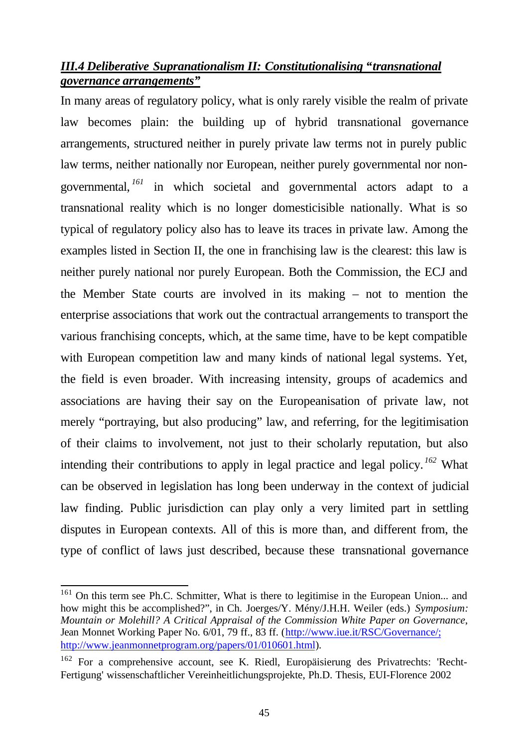## *III.4 Deliberative Supranationalism II: Constitutionalising "transnational governance arrangements"*

In many areas of regulatory policy, what is only rarely visible the realm of private law becomes plain: the building up of hybrid transnational governance arrangements, structured neither in purely private law terms not in purely public law terms, neither nationally nor European, neither purely governmental nor nongovernmental, *<sup>161</sup>* in which societal and governmental actors adapt to a transnational reality which is no longer domesticisible nationally. What is so typical of regulatory policy also has to leave its traces in private law. Among the examples listed in Section II, the one in franchising law is the clearest: this law is neither purely national nor purely European. Both the Commission, the ECJ and the Member State courts are involved in its making – not to mention the enterprise associations that work out the contractual arrangements to transport the various franchising concepts, which, at the same time, have to be kept compatible with European competition law and many kinds of national legal systems. Yet, the field is even broader. With increasing intensity, groups of academics and associations are having their say on the Europeanisation of private law, not merely "portraying, but also producing" law, and referring, for the legitimisation of their claims to involvement, not just to their scholarly reputation, but also intending their contributions to apply in legal practice and legal policy. *<sup>162</sup>* What can be observed in legislation has long been underway in the context of judicial law finding. Public jurisdiction can play only a very limited part in settling disputes in European contexts. All of this is more than, and different from, the type of conflict of laws just described, because these transnational governance

<sup>&</sup>lt;sup>161</sup> On this term see Ph.C. Schmitter, What is there to legitimise in the European Union... and how might this be accomplished?", in Ch. Joerges/Y. Mény/J.H.H. Weiler (eds.) *Symposium: Mountain or Molehill? A Critical Appraisal of the Commission White Paper on Governance*, Jean Monnet Working Paper No. 6/01, 79 ff., 83 ff. (http://www.iue.it/RSC/Governance/; http://www.jeanmonnetprogram.org/papers/01/010601.html).

<sup>162</sup> For a comprehensive account, see K. Riedl, Europäisierung des Privatrechts: 'Recht-Fertigung' wissenschaftlicher Vereinheitlichungsprojekte, Ph.D. Thesis, EUI-Florence 2002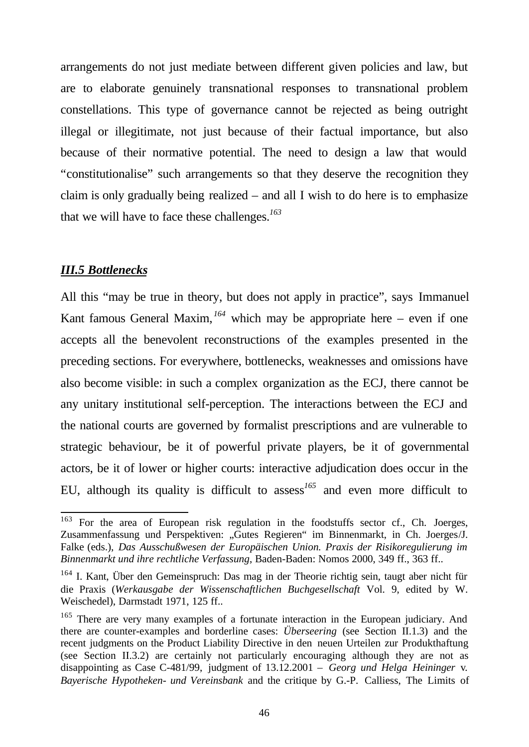arrangements do not just mediate between different given policies and law, but are to elaborate genuinely transnational responses to transnational problem constellations. This type of governance cannot be rejected as being outright illegal or illegitimate, not just because of their factual importance, but also because of their normative potential. The need to design a law that would "constitutionalise" such arrangements so that they deserve the recognition they claim is only gradually being realized – and all I wish to do here is to emphasize that we will have to face these challenges.*<sup>163</sup>*

## *III.5 Bottlenecks*

All this "may be true in theory, but does not apply in practice", says Immanuel Kant famous General Maxim,  $^{164}$  which may be appropriate here – even if one accepts all the benevolent reconstructions of the examples presented in the preceding sections. For everywhere, bottlenecks, weaknesses and omissions have also become visible: in such a complex organization as the ECJ, there cannot be any unitary institutional self-perception. The interactions between the ECJ and the national courts are governed by formalist prescriptions and are vulnerable to strategic behaviour, be it of powerful private players, be it of governmental actors, be it of lower or higher courts: interactive adjudication does occur in the EU, although its quality is difficult to assess*<sup>165</sup>* and even more difficult to

<sup>163</sup> <sup>163</sup> For the area of European risk regulation in the foodstuffs sector cf., Ch. Joerges, Zusammenfassung und Perspektiven: "Gutes Regieren" im Binnenmarkt, in Ch. Joerges/J. Falke (eds.), *Das Ausschußwesen der Europäischen Union. Praxis der Risikoregulierung im Binnenmarkt und ihre rechtliche Verfassung*, Baden-Baden: Nomos 2000, 349 ff., 363 ff..

<sup>&</sup>lt;sup>164</sup> I. Kant, Über den Gemeinspruch: Das mag in der Theorie richtig sein, taugt aber nicht für die Praxis (*Werkausgabe der Wissenschaftlichen Buchgesellschaft* Vol. 9, edited by W. Weischedel), Darmstadt 1971, 125 ff..

<sup>&</sup>lt;sup>165</sup> There are very many examples of a fortunate interaction in the European judiciary. And there are counter-examples and borderline cases: *Überseering* (see Section II.1.3) and the recent judgments on the Product Liability Directive in den neuen Urteilen zur Produkthaftung (see Section II.3.2) are certainly not particularly encouraging although they are not as disappointing as Case C-481/99, judgment of 13.12.2001 – *Georg und Helga Heininger* v*. Bayerische Hypotheken- und Vereinsbank* and the critique by G.-P. Calliess, The Limits of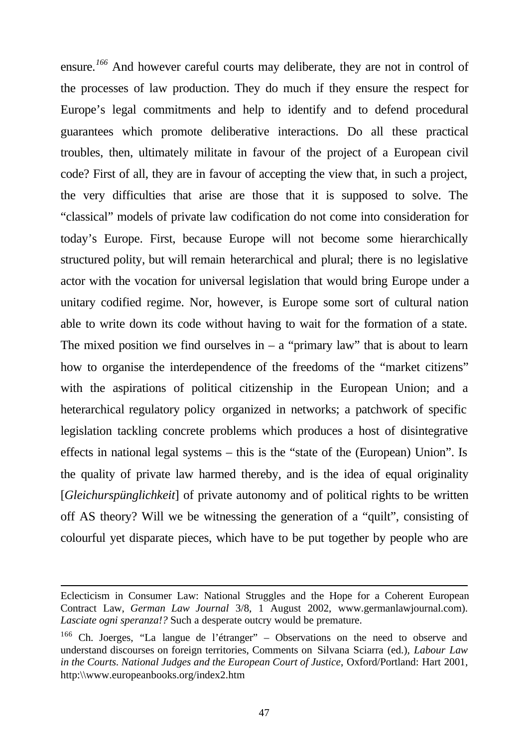ensure. *<sup>166</sup>* And however careful courts may deliberate, they are not in control of the processes of law production. They do much if they ensure the respect for Europe's legal commitments and help to identify and to defend procedural guarantees which promote deliberative interactions. Do all these practical troubles, then, ultimately militate in favour of the project of a European civil code? First of all, they are in favour of accepting the view that, in such a project, the very difficulties that arise are those that it is supposed to solve. The "classical" models of private law codification do not come into consideration for today's Europe. First, because Europe will not become some hierarchically structured polity, but will remain heterarchical and plural; there is no legislative actor with the vocation for universal legislation that would bring Europe under a unitary codified regime. Nor, however, is Europe some sort of cultural nation able to write down its code without having to wait for the formation of a state. The mixed position we find ourselves in  $-$  a "primary law" that is about to learn how to organise the interdependence of the freedoms of the "market citizens" with the aspirations of political citizenship in the European Union; and a heterarchical regulatory policy organized in networks; a patchwork of specific legislation tackling concrete problems which produces a host of disintegrative effects in national legal systems – this is the "state of the (European) Union". Is the quality of private law harmed thereby, and is the idea of equal originality [*Gleichurspünglichkeit*] of private autonomy and of political rights to be written off AS theory? Will we be witnessing the generation of a "quilt", consisting of colourful yet disparate pieces, which have to be put together by people who are

Eclecticism in Consumer Law: National Struggles and the Hope for a Coherent European Contract Law, *German Law Journal* 3/8, 1 August 2002, www.germanlawjournal.com). *Lasciate ogni speranza!?* Such a desperate outcry would be premature.

<sup>166</sup> Ch. Joerges, "La langue de l'étranger" – Observations on the need to observe and understand discourses on foreign territories, Comments on Silvana Sciarra (ed.)*, Labour Law in the Courts. National Judges and the European Court of Justice*, Oxford/Portland: Hart 2001, http:\\www.europeanbooks.org/index2.htm